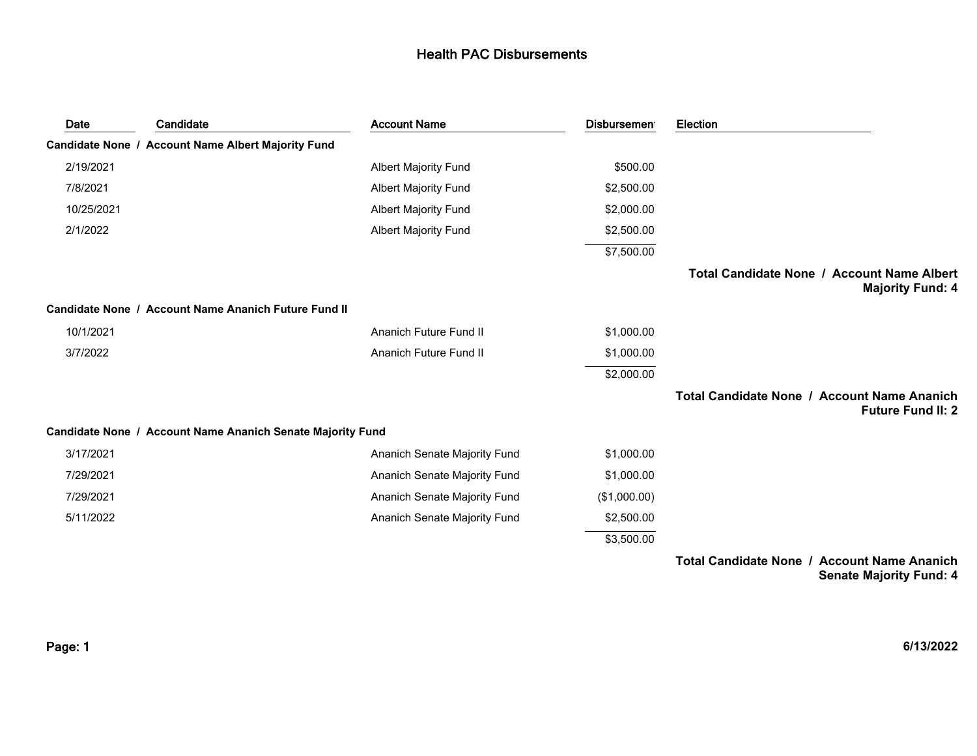| Date       | Candidate                                                  | <b>Account Name</b>          | <b>Disbursemen</b> | Election                                                                       |
|------------|------------------------------------------------------------|------------------------------|--------------------|--------------------------------------------------------------------------------|
|            | Candidate None / Account Name Albert Majority Fund         |                              |                    |                                                                                |
| 2/19/2021  |                                                            | <b>Albert Majority Fund</b>  | \$500.00           |                                                                                |
| 7/8/2021   |                                                            | <b>Albert Majority Fund</b>  | \$2,500.00         |                                                                                |
| 10/25/2021 |                                                            | <b>Albert Majority Fund</b>  | \$2,000.00         |                                                                                |
| 2/1/2022   |                                                            | <b>Albert Majority Fund</b>  | \$2,500.00         |                                                                                |
|            |                                                            |                              | \$7,500.00         |                                                                                |
|            |                                                            |                              |                    | Total Candidate None / Account Name Albert<br><b>Majority Fund: 4</b>          |
|            | Candidate None / Account Name Ananich Future Fund II       |                              |                    |                                                                                |
| 10/1/2021  |                                                            | Ananich Future Fund II       | \$1,000.00         |                                                                                |
| 3/7/2022   |                                                            | Ananich Future Fund II       | \$1,000.00         |                                                                                |
|            |                                                            |                              | \$2,000.00         |                                                                                |
|            |                                                            |                              |                    | <b>Total Candidate None / Account Name Ananich</b><br><b>Future Fund II: 2</b> |
|            | Candidate None / Account Name Ananich Senate Majority Fund |                              |                    |                                                                                |
| 3/17/2021  |                                                            | Ananich Senate Majority Fund | \$1,000.00         |                                                                                |
| 7/29/2021  |                                                            | Ananich Senate Majority Fund | \$1,000.00         |                                                                                |
| 7/29/2021  |                                                            | Ananich Senate Majority Fund | (\$1,000.00)       |                                                                                |
| 5/11/2022  |                                                            | Ananich Senate Majority Fund | \$2,500.00         |                                                                                |
|            |                                                            |                              | \$3,500.00         |                                                                                |

**Total Candidate None / Account Name Ananich Senate Majority Fund: 4**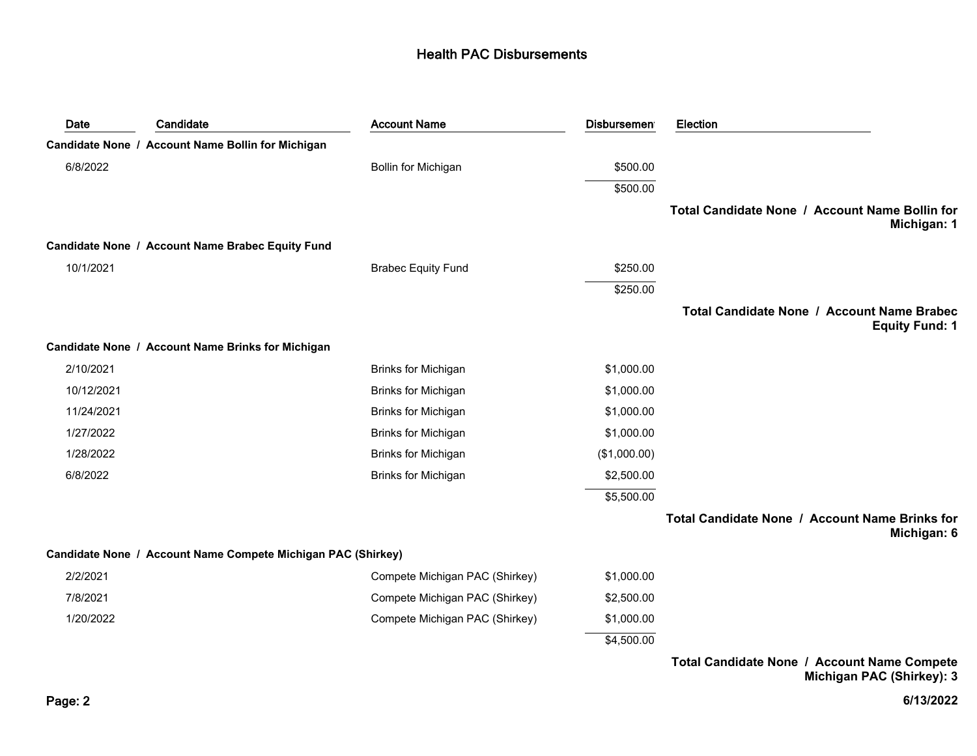| Date       | Candidate                                                    | <b>Account Name</b>            | <b>Disbursement</b> | Election                                                            |
|------------|--------------------------------------------------------------|--------------------------------|---------------------|---------------------------------------------------------------------|
|            | Candidate None / Account Name Bollin for Michigan            |                                |                     |                                                                     |
| 6/8/2022   |                                                              | Bollin for Michigan            | \$500.00            |                                                                     |
|            |                                                              |                                | \$500.00            |                                                                     |
|            |                                                              |                                |                     | Total Candidate None / Account Name Bollin for<br>Michigan: 1       |
|            | Candidate None / Account Name Brabec Equity Fund             |                                |                     |                                                                     |
| 10/1/2021  |                                                              | <b>Brabec Equity Fund</b>      | \$250.00            |                                                                     |
|            |                                                              |                                | \$250.00            |                                                                     |
|            |                                                              |                                |                     | Total Candidate None / Account Name Brabec<br><b>Equity Fund: 1</b> |
|            | Candidate None / Account Name Brinks for Michigan            |                                |                     |                                                                     |
| 2/10/2021  |                                                              | <b>Brinks for Michigan</b>     | \$1,000.00          |                                                                     |
| 10/12/2021 |                                                              | <b>Brinks for Michigan</b>     | \$1,000.00          |                                                                     |
| 11/24/2021 |                                                              | Brinks for Michigan            | \$1,000.00          |                                                                     |
| 1/27/2022  |                                                              | <b>Brinks for Michigan</b>     | \$1,000.00          |                                                                     |
| 1/28/2022  |                                                              | <b>Brinks for Michigan</b>     | (\$1,000.00)        |                                                                     |
| 6/8/2022   |                                                              | <b>Brinks for Michigan</b>     | \$2,500.00          |                                                                     |
|            |                                                              |                                | \$5,500.00          |                                                                     |
|            |                                                              |                                |                     | Total Candidate None / Account Name Brinks for<br>Michigan: 6       |
|            | Candidate None / Account Name Compete Michigan PAC (Shirkey) |                                |                     |                                                                     |
| 2/2/2021   |                                                              | Compete Michigan PAC (Shirkey) | \$1,000.00          |                                                                     |
| 7/8/2021   |                                                              | Compete Michigan PAC (Shirkey) | \$2,500.00          |                                                                     |
| 1/20/2022  |                                                              | Compete Michigan PAC (Shirkey) | \$1,000.00          |                                                                     |
|            |                                                              |                                | \$4,500.00          |                                                                     |
|            |                                                              |                                |                     |                                                                     |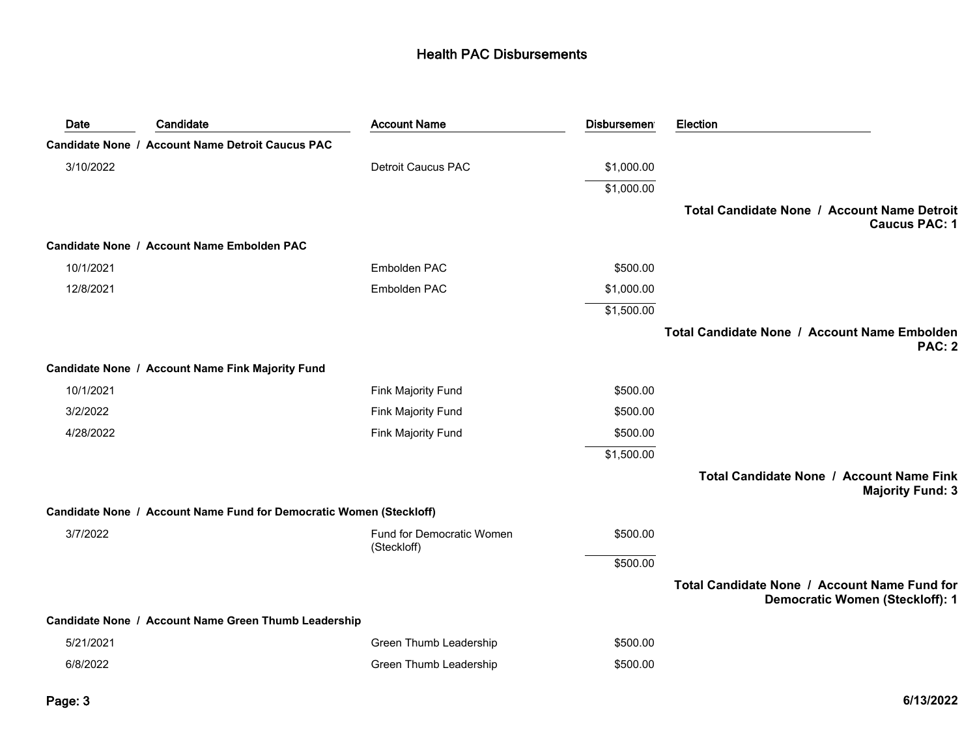| Date      | Candidate                                                           | <b>Account Name</b>                      | <b>Disbursemen</b> | Election                                                                               |
|-----------|---------------------------------------------------------------------|------------------------------------------|--------------------|----------------------------------------------------------------------------------------|
|           | <b>Candidate None / Account Name Detroit Caucus PAC</b>             |                                          |                    |                                                                                        |
| 3/10/2022 |                                                                     | <b>Detroit Caucus PAC</b>                | \$1,000.00         |                                                                                        |
|           |                                                                     |                                          | \$1,000.00         |                                                                                        |
|           |                                                                     |                                          |                    | Total Candidate None / Account Name Detroit<br><b>Caucus PAC: 1</b>                    |
|           | Candidate None / Account Name Embolden PAC                          |                                          |                    |                                                                                        |
| 10/1/2021 |                                                                     | Embolden PAC                             | \$500.00           |                                                                                        |
| 12/8/2021 |                                                                     | Embolden PAC                             | \$1,000.00         |                                                                                        |
|           |                                                                     |                                          | \$1,500.00         |                                                                                        |
|           |                                                                     |                                          |                    | Total Candidate None / Account Name Embolden<br><b>PAC: 2</b>                          |
|           | Candidate None / Account Name Fink Majority Fund                    |                                          |                    |                                                                                        |
| 10/1/2021 |                                                                     | Fink Majority Fund                       | \$500.00           |                                                                                        |
| 3/2/2022  |                                                                     | <b>Fink Majority Fund</b>                | \$500.00           |                                                                                        |
| 4/28/2022 |                                                                     | Fink Majority Fund                       | \$500.00           |                                                                                        |
|           |                                                                     |                                          | \$1,500.00         |                                                                                        |
|           |                                                                     |                                          |                    | Total Candidate None / Account Name Fink<br><b>Majority Fund: 3</b>                    |
|           | Candidate None / Account Name Fund for Democratic Women (Steckloff) |                                          |                    |                                                                                        |
| 3/7/2022  |                                                                     | Fund for Democratic Women<br>(Steckloff) | \$500.00           |                                                                                        |
|           |                                                                     |                                          | \$500.00           |                                                                                        |
|           |                                                                     |                                          |                    | Total Candidate None / Account Name Fund for<br><b>Democratic Women (Steckloff): 1</b> |
|           | Candidate None / Account Name Green Thumb Leadership                |                                          |                    |                                                                                        |
| 5/21/2021 |                                                                     | Green Thumb Leadership                   | \$500.00           |                                                                                        |
| 6/8/2022  |                                                                     | Green Thumb Leadership                   | \$500.00           |                                                                                        |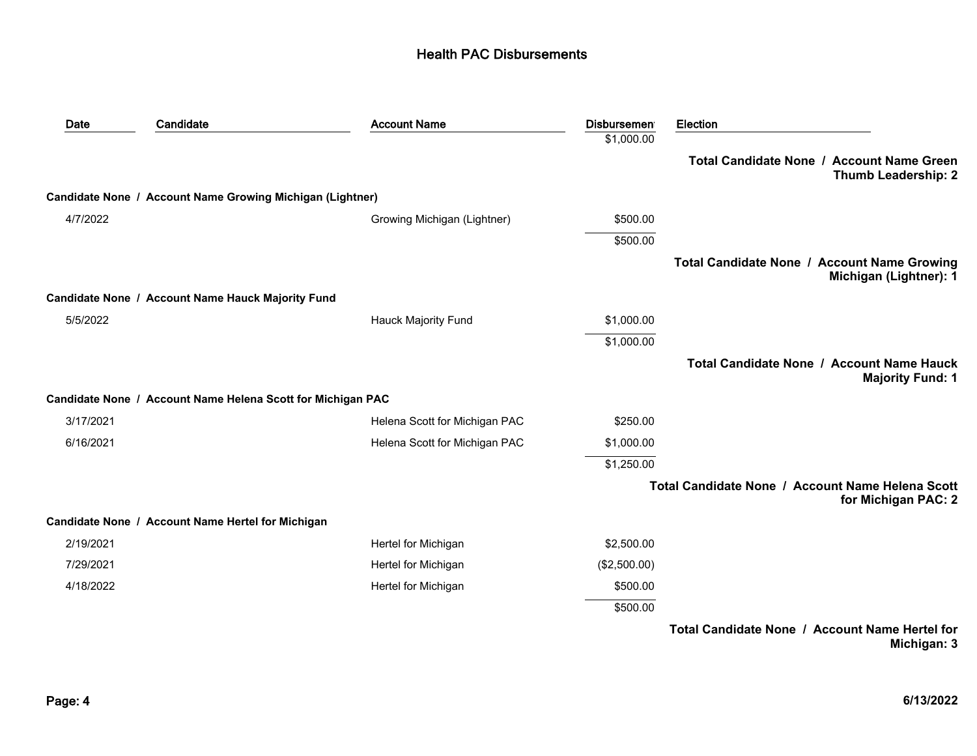| Date      | Candidate                                                   | <b>Account Name</b>           | <b>Disbursemen</b> | <b>Election</b>                                                         |
|-----------|-------------------------------------------------------------|-------------------------------|--------------------|-------------------------------------------------------------------------|
|           |                                                             |                               | \$1,000.00         |                                                                         |
|           |                                                             |                               |                    | Total Candidate None / Account Name Green<br><b>Thumb Leadership: 2</b> |
|           | Candidate None / Account Name Growing Michigan (Lightner)   |                               |                    |                                                                         |
| 4/7/2022  |                                                             | Growing Michigan (Lightner)   | \$500.00           |                                                                         |
|           |                                                             |                               | \$500.00           |                                                                         |
|           |                                                             |                               |                    | Total Candidate None / Account Name Growing<br>Michigan (Lightner): 1   |
|           | Candidate None / Account Name Hauck Majority Fund           |                               |                    |                                                                         |
| 5/5/2022  |                                                             | <b>Hauck Majority Fund</b>    | \$1,000.00         |                                                                         |
|           |                                                             |                               | \$1,000.00         |                                                                         |
|           |                                                             |                               |                    | Total Candidate None / Account Name Hauck<br><b>Majority Fund: 1</b>    |
|           | Candidate None / Account Name Helena Scott for Michigan PAC |                               |                    |                                                                         |
| 3/17/2021 |                                                             | Helena Scott for Michigan PAC | \$250.00           |                                                                         |
| 6/16/2021 |                                                             | Helena Scott for Michigan PAC | \$1,000.00         |                                                                         |
|           |                                                             |                               | \$1,250.00         |                                                                         |
|           |                                                             |                               |                    | Total Candidate None / Account Name Helena Scott<br>for Michigan PAC: 2 |
|           | Candidate None / Account Name Hertel for Michigan           |                               |                    |                                                                         |
| 2/19/2021 |                                                             | Hertel for Michigan           | \$2,500.00         |                                                                         |
| 7/29/2021 |                                                             | Hertel for Michigan           | (\$2,500.00)       |                                                                         |
| 4/18/2022 |                                                             | Hertel for Michigan           | \$500.00           |                                                                         |
|           |                                                             |                               | \$500.00           |                                                                         |
|           |                                                             |                               |                    | Total Candidate None / Account Name Hertel for                          |

**Michigan: 3**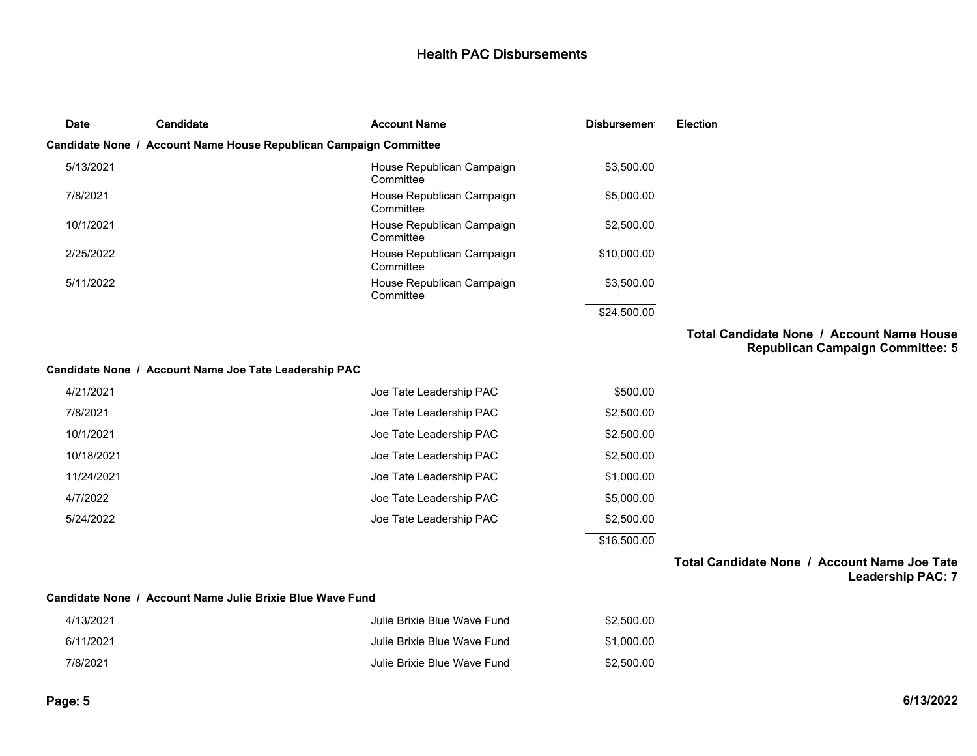| Date       | Candidate                                                 | <b>Account Name</b>                                               | <b>Disbursemen</b> | Election                                                                             |
|------------|-----------------------------------------------------------|-------------------------------------------------------------------|--------------------|--------------------------------------------------------------------------------------|
|            |                                                           | Candidate None / Account Name House Republican Campaign Committee |                    |                                                                                      |
| 5/13/2021  |                                                           | House Republican Campaign<br>Committee                            | \$3,500.00         |                                                                                      |
| 7/8/2021   |                                                           | House Republican Campaign<br>Committee                            | \$5,000.00         |                                                                                      |
| 10/1/2021  |                                                           | House Republican Campaign<br>Committee                            | \$2,500.00         |                                                                                      |
| 2/25/2022  |                                                           | House Republican Campaign<br>Committee                            | \$10,000.00        |                                                                                      |
| 5/11/2022  |                                                           | House Republican Campaign<br>Committee                            | \$3,500.00         |                                                                                      |
|            |                                                           |                                                                   | \$24,500.00        |                                                                                      |
|            |                                                           |                                                                   |                    | Total Candidate None / Account Name House<br><b>Republican Campaign Committee: 5</b> |
|            | Candidate None / Account Name Joe Tate Leadership PAC     |                                                                   |                    |                                                                                      |
| 4/21/2021  |                                                           | Joe Tate Leadership PAC                                           | \$500.00           |                                                                                      |
| 7/8/2021   |                                                           | Joe Tate Leadership PAC                                           | \$2,500.00         |                                                                                      |
| 10/1/2021  |                                                           | Joe Tate Leadership PAC                                           | \$2,500.00         |                                                                                      |
| 10/18/2021 |                                                           | Joe Tate Leadership PAC                                           | \$2,500.00         |                                                                                      |
| 11/24/2021 |                                                           | Joe Tate Leadership PAC                                           | \$1,000.00         |                                                                                      |
| 4/7/2022   |                                                           | Joe Tate Leadership PAC                                           | \$5,000.00         |                                                                                      |
| 5/24/2022  |                                                           | Joe Tate Leadership PAC                                           | \$2,500.00         |                                                                                      |
|            |                                                           |                                                                   | \$16,500.00        |                                                                                      |
|            |                                                           |                                                                   |                    | Total Candidate None / Account Name Joe Tate<br><b>Leadership PAC: 7</b>             |
|            | Candidate None / Account Name Julie Brixie Blue Wave Fund |                                                                   |                    |                                                                                      |
| 4/13/2021  |                                                           | Julie Brixie Blue Wave Fund.                                      | \$2,500.00         |                                                                                      |

| 4/13/2021 | Julie Brixie Blue Wave Fund | \$2,500.00 |
|-----------|-----------------------------|------------|
| 6/11/2021 | Julie Brixie Blue Wave Fund | \$1.000.00 |
| 7/8/2021  | Julie Brixie Blue Wave Fund | \$2.500.00 |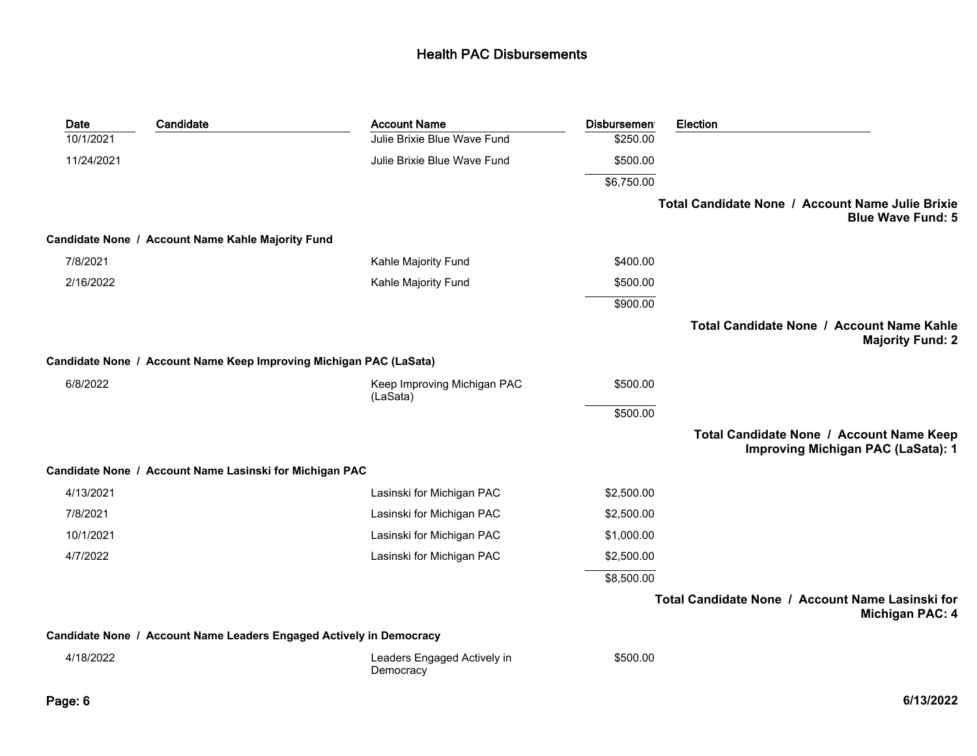| <b>Date</b> | Candidate                                                           | <b>Account Name</b>                      | <b>Disbursement</b> | Election                                                                              |
|-------------|---------------------------------------------------------------------|------------------------------------------|---------------------|---------------------------------------------------------------------------------------|
| 10/1/2021   |                                                                     | Julie Brixie Blue Wave Fund              | \$250.00            |                                                                                       |
| 11/24/2021  |                                                                     | Julie Brixie Blue Wave Fund              | \$500.00            |                                                                                       |
|             |                                                                     |                                          | \$6,750.00          |                                                                                       |
|             |                                                                     |                                          |                     | Total Candidate None / Account Name Julie Brixie<br><b>Blue Wave Fund: 5</b>          |
|             | Candidate None / Account Name Kahle Majority Fund                   |                                          |                     |                                                                                       |
| 7/8/2021    |                                                                     | Kahle Majority Fund                      | \$400.00            |                                                                                       |
| 2/16/2022   |                                                                     | Kahle Majority Fund                      | \$500.00            |                                                                                       |
|             |                                                                     |                                          | \$900.00            |                                                                                       |
|             |                                                                     |                                          |                     | Total Candidate None / Account Name Kahle<br><b>Majority Fund: 2</b>                  |
|             | Candidate None / Account Name Keep Improving Michigan PAC (LaSata)  |                                          |                     |                                                                                       |
| 6/8/2022    |                                                                     | Keep Improving Michigan PAC<br>(LaSata)  | \$500.00            |                                                                                       |
|             |                                                                     |                                          | \$500.00            |                                                                                       |
|             |                                                                     |                                          |                     | Total Candidate None / Account Name Keep<br><b>Improving Michigan PAC (LaSata): 1</b> |
|             | Candidate None / Account Name Lasinski for Michigan PAC             |                                          |                     |                                                                                       |
| 4/13/2021   |                                                                     | Lasinski for Michigan PAC                | \$2,500.00          |                                                                                       |
| 7/8/2021    |                                                                     | Lasinski for Michigan PAC                | \$2,500.00          |                                                                                       |
| 10/1/2021   |                                                                     | Lasinski for Michigan PAC                | \$1,000.00          |                                                                                       |
| 4/7/2022    |                                                                     | Lasinski for Michigan PAC                | \$2,500.00          |                                                                                       |
|             |                                                                     |                                          | \$8,500.00          |                                                                                       |
|             |                                                                     |                                          |                     | Total Candidate None / Account Name Lasinski for<br><b>Michigan PAC: 4</b>            |
|             | Candidate None / Account Name Leaders Engaged Actively in Democracy |                                          |                     |                                                                                       |
| 4/18/2022   |                                                                     | Leaders Engaged Actively in<br>Democracy | \$500.00            |                                                                                       |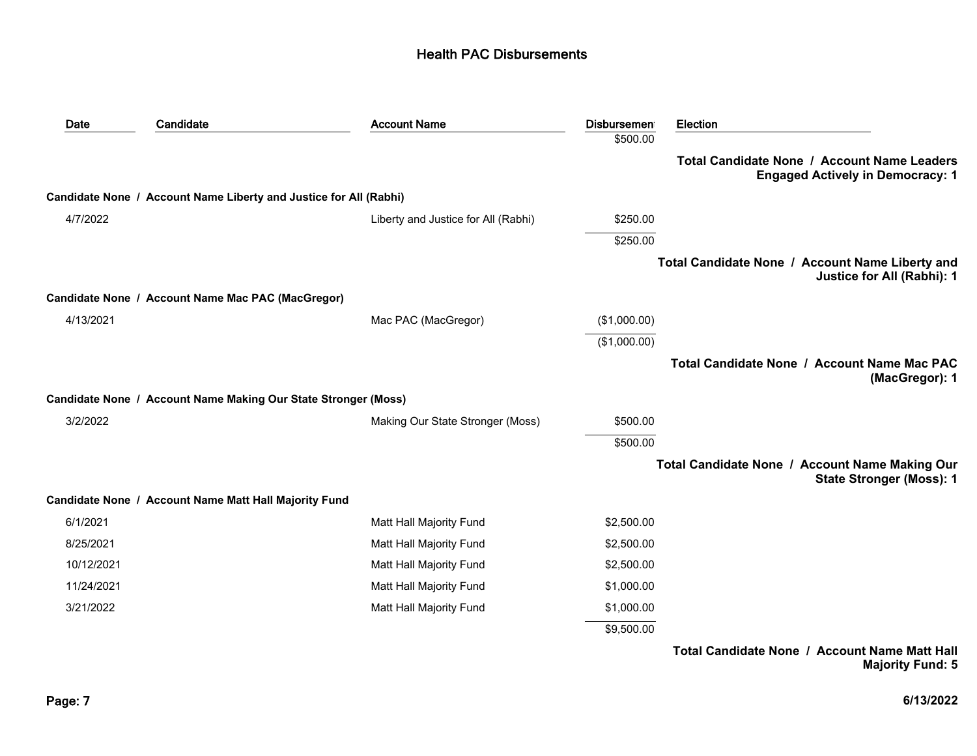| Date       | Candidate                                                         | <b>Account Name</b>                 | <b>Disbursemen</b> | Election                                                                               |
|------------|-------------------------------------------------------------------|-------------------------------------|--------------------|----------------------------------------------------------------------------------------|
|            |                                                                   |                                     | \$500.00           |                                                                                        |
|            |                                                                   |                                     |                    | Total Candidate None / Account Name Leaders<br><b>Engaged Actively in Democracy: 1</b> |
|            | Candidate None / Account Name Liberty and Justice for All (Rabhi) |                                     |                    |                                                                                        |
| 4/7/2022   |                                                                   | Liberty and Justice for All (Rabhi) | \$250.00           |                                                                                        |
|            |                                                                   |                                     | \$250.00           |                                                                                        |
|            |                                                                   |                                     |                    | Total Candidate None / Account Name Liberty and<br>Justice for All (Rabhi): 1          |
|            | Candidate None / Account Name Mac PAC (MacGregor)                 |                                     |                    |                                                                                        |
| 4/13/2021  |                                                                   | Mac PAC (MacGregor)                 | (\$1,000.00)       |                                                                                        |
|            |                                                                   |                                     | (\$1,000.00)       |                                                                                        |
|            |                                                                   |                                     |                    | Total Candidate None / Account Name Mac PAC<br>(MacGregor): 1                          |
|            | Candidate None / Account Name Making Our State Stronger (Moss)    |                                     |                    |                                                                                        |
| 3/2/2022   |                                                                   | Making Our State Stronger (Moss)    | \$500.00           |                                                                                        |
|            |                                                                   |                                     | \$500.00           |                                                                                        |
|            |                                                                   |                                     |                    | Total Candidate None / Account Name Making Our<br><b>State Stronger (Moss): 1</b>      |
|            | Candidate None / Account Name Matt Hall Majority Fund             |                                     |                    |                                                                                        |
| 6/1/2021   |                                                                   | Matt Hall Majority Fund             | \$2,500.00         |                                                                                        |
| 8/25/2021  |                                                                   | Matt Hall Majority Fund             | \$2,500.00         |                                                                                        |
| 10/12/2021 |                                                                   | Matt Hall Majority Fund             | \$2,500.00         |                                                                                        |
| 11/24/2021 |                                                                   | Matt Hall Majority Fund             | \$1,000.00         |                                                                                        |
| 3/21/2022  |                                                                   | Matt Hall Majority Fund             | \$1,000.00         |                                                                                        |
|            |                                                                   |                                     | \$9,500.00         |                                                                                        |
|            |                                                                   |                                     |                    | Total Candidate None / Account Name Matt Hall<br><b>Majority Fund: 5</b>               |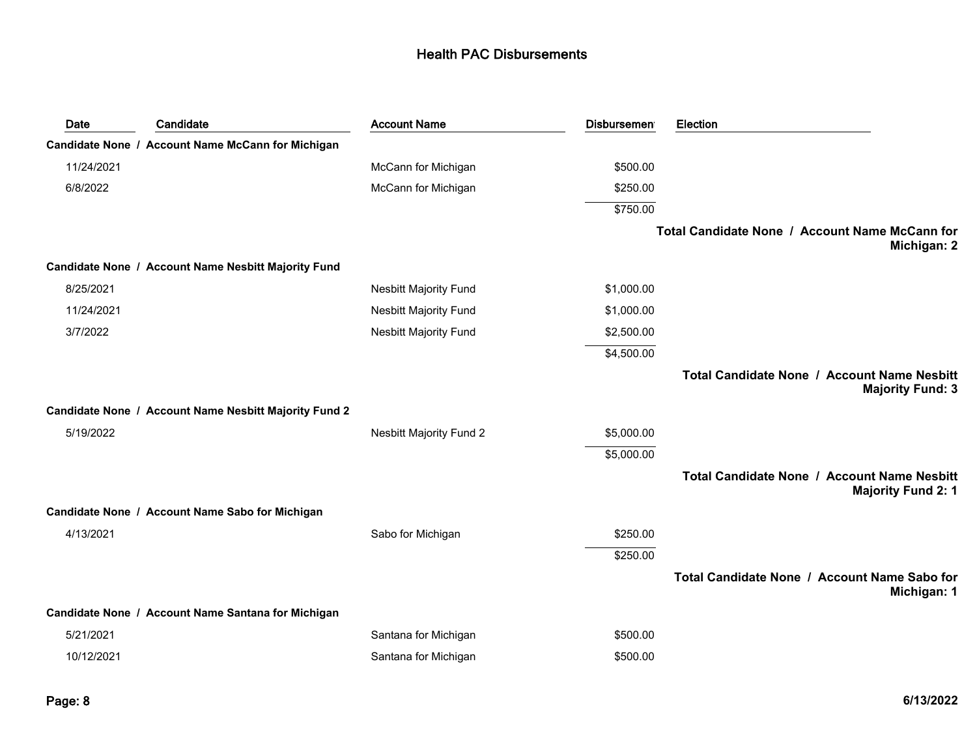| Date       | Candidate                                             | <b>Account Name</b>            | <b>Disbursemen</b> | Election                                                                        |
|------------|-------------------------------------------------------|--------------------------------|--------------------|---------------------------------------------------------------------------------|
|            | Candidate None / Account Name McCann for Michigan     |                                |                    |                                                                                 |
| 11/24/2021 |                                                       | McCann for Michigan            | \$500.00           |                                                                                 |
| 6/8/2022   |                                                       | McCann for Michigan            | \$250.00           |                                                                                 |
|            |                                                       |                                | \$750.00           |                                                                                 |
|            |                                                       |                                |                    | Total Candidate None / Account Name McCann for<br>Michigan: 2                   |
|            | Candidate None / Account Name Nesbitt Majority Fund   |                                |                    |                                                                                 |
| 8/25/2021  |                                                       | <b>Nesbitt Majority Fund</b>   | \$1,000.00         |                                                                                 |
| 11/24/2021 |                                                       | <b>Nesbitt Majority Fund</b>   | \$1,000.00         |                                                                                 |
| 3/7/2022   |                                                       | <b>Nesbitt Majority Fund</b>   | \$2,500.00         |                                                                                 |
|            |                                                       |                                | \$4,500.00         |                                                                                 |
|            |                                                       |                                |                    | <b>Total Candidate None / Account Name Nesbitt</b><br><b>Majority Fund: 3</b>   |
|            | Candidate None / Account Name Nesbitt Majority Fund 2 |                                |                    |                                                                                 |
| 5/19/2022  |                                                       | <b>Nesbitt Majority Fund 2</b> | \$5,000.00         |                                                                                 |
|            |                                                       |                                | \$5,000.00         |                                                                                 |
|            |                                                       |                                |                    | <b>Total Candidate None / Account Name Nesbitt</b><br><b>Majority Fund 2: 1</b> |
|            | Candidate None / Account Name Sabo for Michigan       |                                |                    |                                                                                 |
| 4/13/2021  |                                                       | Sabo for Michigan              | \$250.00           |                                                                                 |
|            |                                                       |                                | \$250.00           |                                                                                 |
|            |                                                       |                                |                    | Total Candidate None / Account Name Sabo for<br>Michigan: 1                     |
|            | Candidate None / Account Name Santana for Michigan    |                                |                    |                                                                                 |
| 5/21/2021  |                                                       | Santana for Michigan           | \$500.00           |                                                                                 |
| 10/12/2021 |                                                       | Santana for Michigan           | \$500.00           |                                                                                 |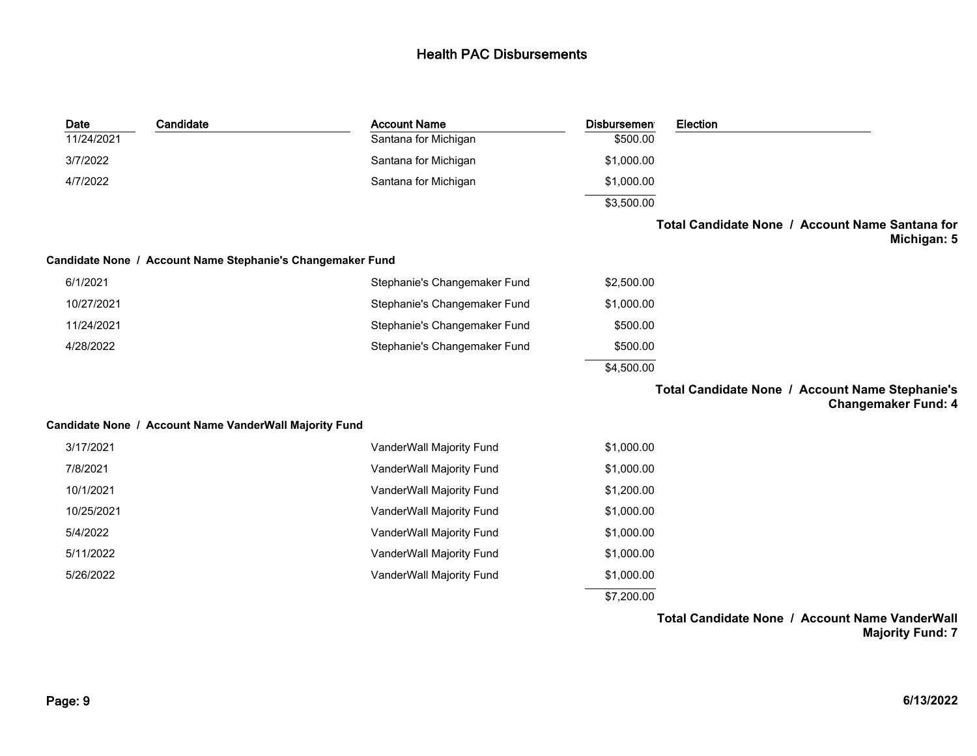| Date       | Candidate                                                  | <b>Account Name</b>          | <b>Disbursement</b> | Election                                                                      |
|------------|------------------------------------------------------------|------------------------------|---------------------|-------------------------------------------------------------------------------|
| 11/24/2021 |                                                            | Santana for Michigan         | \$500.00            |                                                                               |
| 3/7/2022   |                                                            | Santana for Michigan         | \$1,000.00          |                                                                               |
| 4/7/2022   |                                                            | Santana for Michigan         | \$1,000.00          |                                                                               |
|            |                                                            |                              | \$3,500.00          |                                                                               |
|            |                                                            |                              |                     | Total Candidate None / Account Name Santana for<br>Michigan: 5                |
|            | Candidate None / Account Name Stephanie's Changemaker Fund |                              |                     |                                                                               |
| 6/1/2021   |                                                            | Stephanie's Changemaker Fund | \$2,500.00          |                                                                               |
| 10/27/2021 |                                                            | Stephanie's Changemaker Fund | \$1,000.00          |                                                                               |
| 11/24/2021 |                                                            | Stephanie's Changemaker Fund | \$500.00            |                                                                               |
| 4/28/2022  |                                                            | Stephanie's Changemaker Fund | \$500.00            |                                                                               |
|            |                                                            |                              | \$4,500.00          |                                                                               |
|            |                                                            |                              |                     | Total Candidate None / Account Name Stephanie's<br><b>Changemaker Fund: 4</b> |
|            | Candidate None / Account Name VanderWall Majority Fund     |                              |                     |                                                                               |
| 3/17/2021  |                                                            | VanderWall Majority Fund     | \$1,000.00          |                                                                               |
| 7/8/2021   |                                                            | VanderWall Majority Fund     | \$1,000.00          |                                                                               |
| 10/1/2021  |                                                            | VanderWall Majority Fund     | \$1,200.00          |                                                                               |
| 10/25/2021 |                                                            | VanderWall Majority Fund     | \$1,000.00          |                                                                               |
| 5/4/2022   |                                                            | VanderWall Majority Fund     | \$1,000.00          |                                                                               |
| 5/11/2022  |                                                            | VanderWall Majority Fund     | \$1,000.00          |                                                                               |
| 5/26/2022  |                                                            | VanderWall Majority Fund     | \$1,000.00          |                                                                               |
|            |                                                            |                              | \$7,200.00          |                                                                               |
|            |                                                            |                              |                     |                                                                               |

**Total Candidate None / Account Name VanderWall Majority Fund: 7**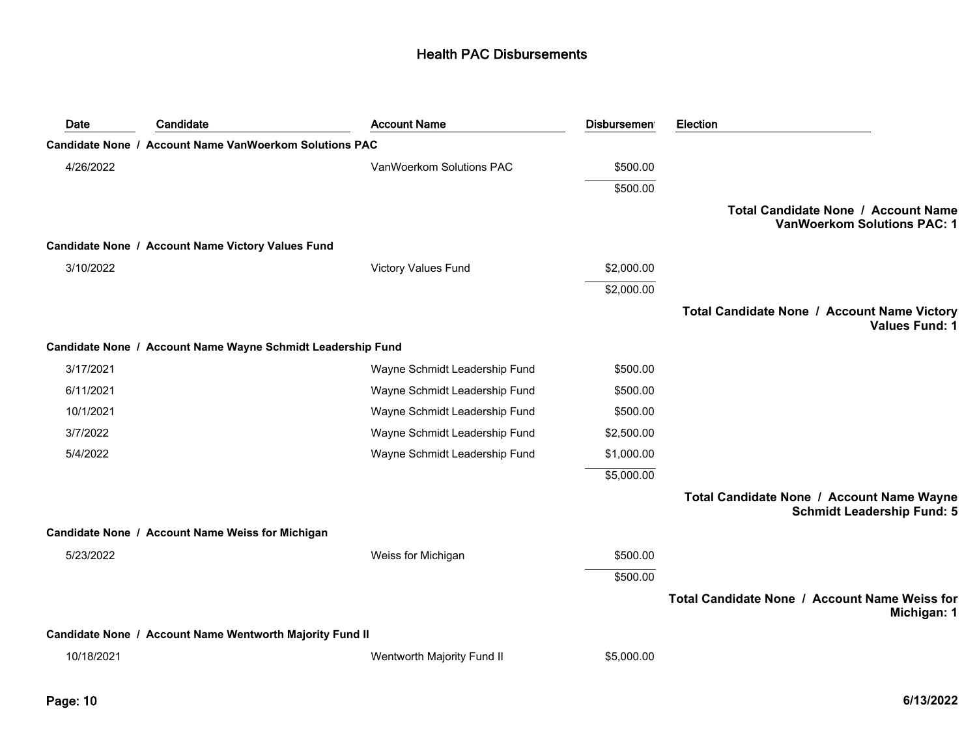| Date       | Candidate                                                   | <b>Account Name</b>           | <b>Disbursement</b> | Election                                                                       |
|------------|-------------------------------------------------------------|-------------------------------|---------------------|--------------------------------------------------------------------------------|
|            | Candidate None / Account Name VanWoerkom Solutions PAC      |                               |                     |                                                                                |
| 4/26/2022  |                                                             | VanWoerkom Solutions PAC      | \$500.00            |                                                                                |
|            |                                                             |                               | \$500.00            |                                                                                |
|            |                                                             |                               |                     | Total Candidate None / Account Name<br><b>VanWoerkom Solutions PAC: 1</b>      |
|            | Candidate None / Account Name Victory Values Fund           |                               |                     |                                                                                |
| 3/10/2022  |                                                             | <b>Victory Values Fund</b>    | \$2,000.00          |                                                                                |
|            |                                                             |                               | \$2,000.00          |                                                                                |
|            |                                                             |                               |                     | Total Candidate None / Account Name Victory<br><b>Values Fund: 1</b>           |
|            | Candidate None / Account Name Wayne Schmidt Leadership Fund |                               |                     |                                                                                |
| 3/17/2021  |                                                             | Wayne Schmidt Leadership Fund | \$500.00            |                                                                                |
| 6/11/2021  |                                                             | Wayne Schmidt Leadership Fund | \$500.00            |                                                                                |
| 10/1/2021  |                                                             | Wayne Schmidt Leadership Fund | \$500.00            |                                                                                |
| 3/7/2022   |                                                             | Wayne Schmidt Leadership Fund | \$2,500.00          |                                                                                |
| 5/4/2022   |                                                             | Wayne Schmidt Leadership Fund | \$1,000.00          |                                                                                |
|            |                                                             |                               | \$5,000.00          |                                                                                |
|            |                                                             |                               |                     | Total Candidate None / Account Name Wayne<br><b>Schmidt Leadership Fund: 5</b> |
|            | Candidate None / Account Name Weiss for Michigan            |                               |                     |                                                                                |
| 5/23/2022  |                                                             | Weiss for Michigan            | \$500.00            |                                                                                |
|            |                                                             |                               | \$500.00            |                                                                                |
|            |                                                             |                               |                     | Total Candidate None / Account Name Weiss for<br>Michigan: 1                   |
|            | Candidate None / Account Name Wentworth Majority Fund II    |                               |                     |                                                                                |
| 10/18/2021 |                                                             | Wentworth Majority Fund II    | \$5,000.00          |                                                                                |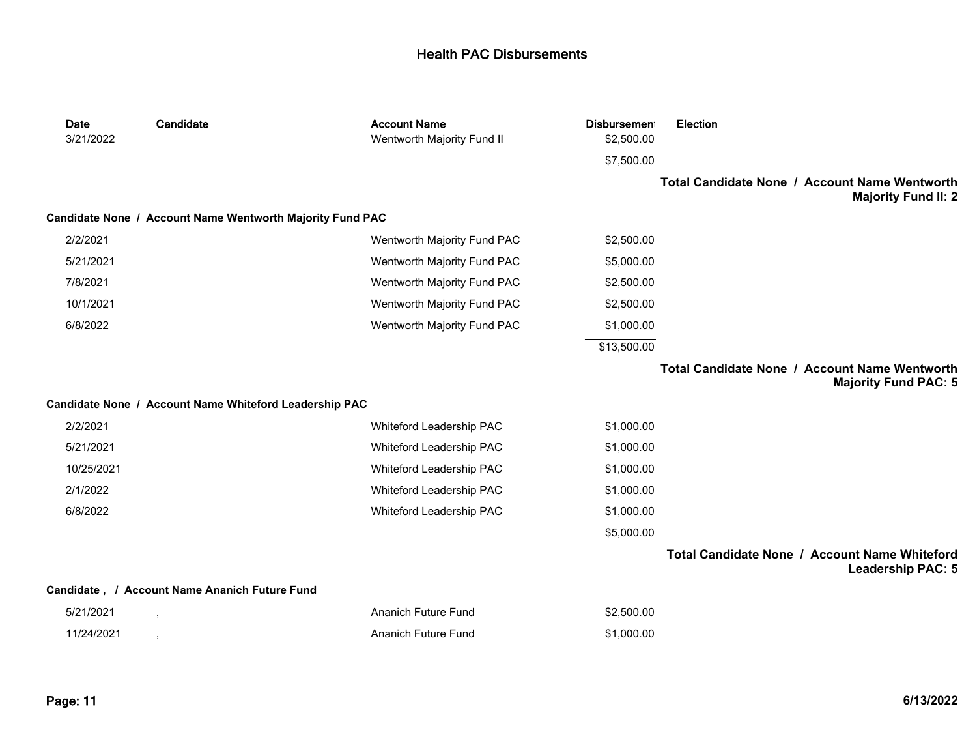| <b>Account Name</b>                                       | <b>Disbursemen</b> | <b>Election</b>                                                              |
|-----------------------------------------------------------|--------------------|------------------------------------------------------------------------------|
| Wentworth Majority Fund II                                | \$2,500.00         |                                                                              |
|                                                           | \$7,500.00         |                                                                              |
|                                                           |                    | Total Candidate None / Account Name Wentworth<br><b>Majority Fund II: 2</b>  |
| Candidate None / Account Name Wentworth Majority Fund PAC |                    |                                                                              |
| Wentworth Majority Fund PAC                               | \$2,500.00         |                                                                              |
| Wentworth Majority Fund PAC                               | \$5,000.00         |                                                                              |
| Wentworth Majority Fund PAC                               | \$2,500.00         |                                                                              |
| Wentworth Majority Fund PAC                               | \$2,500.00         |                                                                              |
| Wentworth Majority Fund PAC                               | \$1,000.00         |                                                                              |
|                                                           | \$13,500.00        |                                                                              |
|                                                           |                    | Total Candidate None / Account Name Wentworth<br><b>Majority Fund PAC: 5</b> |
| Candidate None / Account Name Whiteford Leadership PAC    |                    |                                                                              |
| Whiteford Leadership PAC                                  | \$1,000.00         |                                                                              |
| Whiteford Leadership PAC                                  | \$1,000.00         |                                                                              |
| Whiteford Leadership PAC                                  | \$1,000.00         |                                                                              |
| Whiteford Leadership PAC                                  | \$1,000.00         |                                                                              |
| Whiteford Leadership PAC                                  | \$1,000.00         |                                                                              |
|                                                           | \$5,000.00         |                                                                              |
|                                                           |                    | Total Candidate None / Account Name Whiteford<br><b>Leadership PAC: 5</b>    |
| Candidate, / Account Name Ananich Future Fund             |                    |                                                                              |
| <b>Ananich Future Fund</b>                                | \$2,500.00         |                                                                              |
| <b>Ananich Future Fund</b>                                | \$1,000.00         |                                                                              |
|                                                           |                    |                                                                              |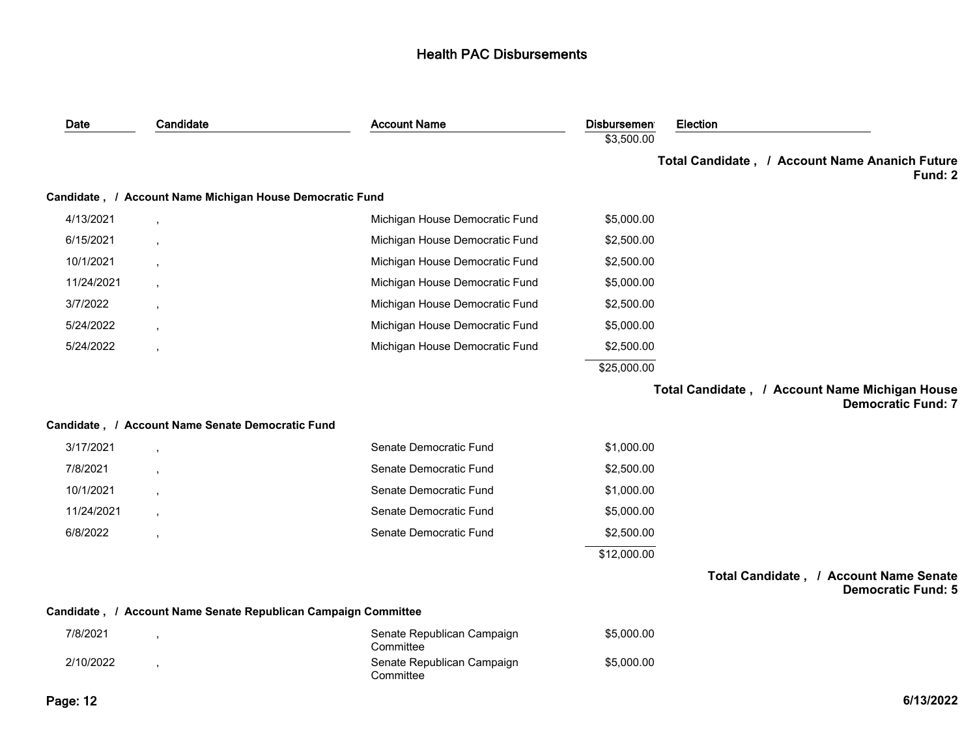| Date       | Candidate                                                      | <b>Account Name</b>                     | <b>Disbursemen</b> | Election                                                                    |
|------------|----------------------------------------------------------------|-----------------------------------------|--------------------|-----------------------------------------------------------------------------|
|            |                                                                |                                         | \$3,500.00         |                                                                             |
|            |                                                                |                                         |                    | Total Candidate, / Account Name Ananich Future<br>Fund: 2                   |
|            | Candidate, / Account Name Michigan House Democratic Fund       |                                         |                    |                                                                             |
| 4/13/2021  |                                                                | Michigan House Democratic Fund          | \$5,000.00         |                                                                             |
| 6/15/2021  |                                                                | Michigan House Democratic Fund          | \$2,500.00         |                                                                             |
| 10/1/2021  |                                                                | Michigan House Democratic Fund          | \$2,500.00         |                                                                             |
| 11/24/2021 |                                                                | Michigan House Democratic Fund          | \$5,000.00         |                                                                             |
| 3/7/2022   |                                                                | Michigan House Democratic Fund          | \$2,500.00         |                                                                             |
| 5/24/2022  |                                                                | Michigan House Democratic Fund          | \$5,000.00         |                                                                             |
| 5/24/2022  |                                                                | Michigan House Democratic Fund          | \$2,500.00         |                                                                             |
|            |                                                                |                                         | \$25,000.00        |                                                                             |
|            |                                                                |                                         |                    | Total Candidate, / Account Name Michigan House<br><b>Democratic Fund: 7</b> |
|            | Candidate, / Account Name Senate Democratic Fund               |                                         |                    |                                                                             |
| 3/17/2021  |                                                                | Senate Democratic Fund                  | \$1,000.00         |                                                                             |
| 7/8/2021   |                                                                | Senate Democratic Fund                  | \$2,500.00         |                                                                             |
| 10/1/2021  |                                                                | Senate Democratic Fund                  | \$1,000.00         |                                                                             |
| 11/24/2021 |                                                                | Senate Democratic Fund                  | \$5,000.00         |                                                                             |
| 6/8/2022   |                                                                | Senate Democratic Fund                  | \$2,500.00         |                                                                             |
|            |                                                                |                                         | \$12,000.00        |                                                                             |
|            |                                                                |                                         |                    | Total Candidate, / Account Name Senate<br><b>Democratic Fund: 5</b>         |
|            | Candidate, / Account Name Senate Republican Campaign Committee |                                         |                    |                                                                             |
| 7/8/2021   |                                                                | Senate Republican Campaign<br>Committee | \$5,000.00         |                                                                             |
| 2/10/2022  |                                                                | Senate Republican Campaign<br>Committee | \$5,000.00         |                                                                             |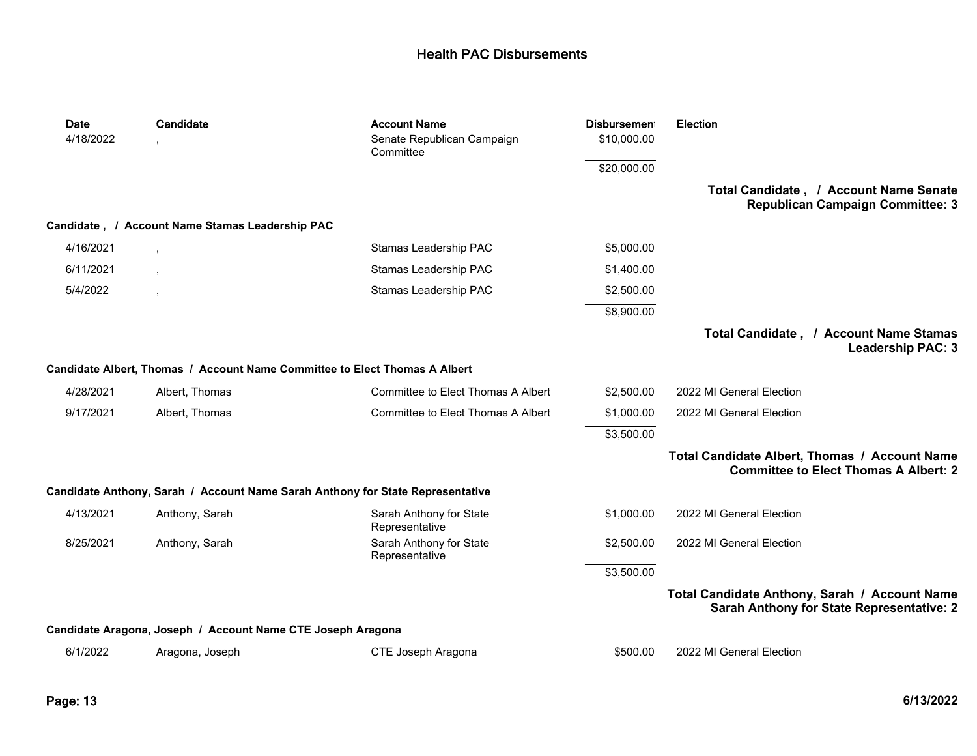| Date      | Candidate                                                   | <b>Account Name</b>                                                            | <b>Disbursemen</b> | Election                                                                                      |
|-----------|-------------------------------------------------------------|--------------------------------------------------------------------------------|--------------------|-----------------------------------------------------------------------------------------------|
| 4/18/2022 |                                                             | Senate Republican Campaign<br>Committee                                        | \$10,000.00        |                                                                                               |
|           |                                                             |                                                                                | \$20,000.00        |                                                                                               |
|           |                                                             |                                                                                |                    | Total Candidate, / Account Name Senate<br><b>Republican Campaign Committee: 3</b>             |
|           | Candidate, / Account Name Stamas Leadership PAC             |                                                                                |                    |                                                                                               |
| 4/16/2021 |                                                             | Stamas Leadership PAC                                                          | \$5,000.00         |                                                                                               |
| 6/11/2021 |                                                             | Stamas Leadership PAC                                                          | \$1,400.00         |                                                                                               |
| 5/4/2022  |                                                             | Stamas Leadership PAC                                                          | \$2,500.00         |                                                                                               |
|           |                                                             |                                                                                | \$8,900.00         |                                                                                               |
|           |                                                             |                                                                                |                    | Total Candidate, / Account Name Stamas<br><b>Leadership PAC: 3</b>                            |
|           |                                                             | Candidate Albert, Thomas / Account Name Committee to Elect Thomas A Albert     |                    |                                                                                               |
| 4/28/2021 | Albert, Thomas                                              | Committee to Elect Thomas A Albert                                             | \$2,500.00         | 2022 MI General Election                                                                      |
| 9/17/2021 | Albert, Thomas                                              | Committee to Elect Thomas A Albert                                             | \$1,000.00         | 2022 MI General Election                                                                      |
|           |                                                             |                                                                                | \$3,500.00         |                                                                                               |
|           |                                                             |                                                                                |                    | Total Candidate Albert, Thomas / Account Name<br><b>Committee to Elect Thomas A Albert: 2</b> |
|           |                                                             | Candidate Anthony, Sarah / Account Name Sarah Anthony for State Representative |                    |                                                                                               |
| 4/13/2021 | Anthony, Sarah                                              | Sarah Anthony for State<br>Representative                                      | \$1,000.00         | 2022 MI General Election                                                                      |
| 8/25/2021 | Anthony, Sarah                                              | Sarah Anthony for State<br>Representative                                      | \$2,500.00         | 2022 MI General Election                                                                      |
|           |                                                             |                                                                                | \$3,500.00         |                                                                                               |
|           |                                                             |                                                                                |                    | Total Candidate Anthony, Sarah / Account Name<br>Sarah Anthony for State Representative: 2    |
|           | Candidate Aragona, Joseph / Account Name CTE Joseph Aragona |                                                                                |                    |                                                                                               |
| 6/1/2022  | Aragona, Joseph                                             | CTE Joseph Aragona                                                             | \$500.00           | 2022 MI General Election                                                                      |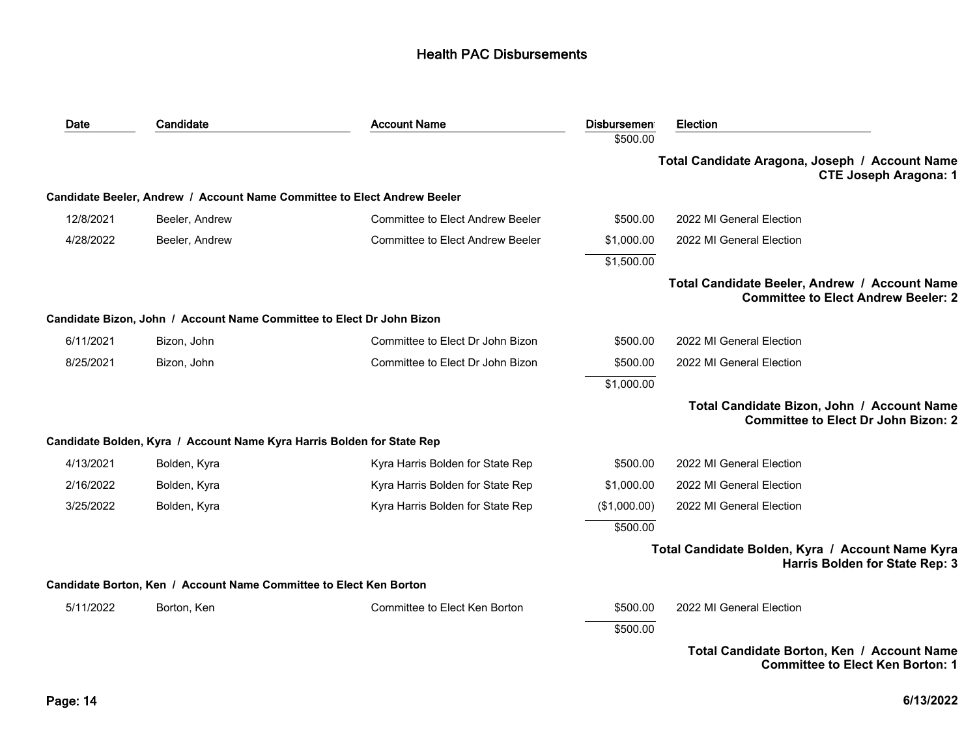| Date      | Candidate                                                                | <b>Account Name</b>                     | <b>Disbursemen</b> | <b>Election</b>                                                                             |
|-----------|--------------------------------------------------------------------------|-----------------------------------------|--------------------|---------------------------------------------------------------------------------------------|
|           |                                                                          |                                         | \$500.00           |                                                                                             |
|           |                                                                          |                                         |                    | Total Candidate Aragona, Joseph / Account Name<br><b>CTE Joseph Aragona: 1</b>              |
|           | Candidate Beeler, Andrew / Account Name Committee to Elect Andrew Beeler |                                         |                    |                                                                                             |
| 12/8/2021 | Beeler, Andrew                                                           | <b>Committee to Elect Andrew Beeler</b> | \$500.00           | 2022 MI General Election                                                                    |
| 4/28/2022 | Beeler, Andrew                                                           | <b>Committee to Elect Andrew Beeler</b> | \$1,000.00         | 2022 MI General Election                                                                    |
|           |                                                                          |                                         | \$1,500.00         |                                                                                             |
|           |                                                                          |                                         |                    | Total Candidate Beeler, Andrew / Account Name<br><b>Committee to Elect Andrew Beeler: 2</b> |
|           | Candidate Bizon, John / Account Name Committee to Elect Dr John Bizon    |                                         |                    |                                                                                             |
| 6/11/2021 | Bizon, John                                                              | Committee to Elect Dr John Bizon        | \$500.00           | 2022 MI General Election                                                                    |
| 8/25/2021 | Bizon, John                                                              | Committee to Elect Dr John Bizon        | \$500.00           | 2022 MI General Election                                                                    |
|           |                                                                          |                                         | \$1,000.00         |                                                                                             |
|           |                                                                          |                                         |                    | Total Candidate Bizon, John / Account Name<br><b>Committee to Elect Dr John Bizon: 2</b>    |
|           | Candidate Bolden, Kyra / Account Name Kyra Harris Bolden for State Rep   |                                         |                    |                                                                                             |
| 4/13/2021 | Bolden, Kyra                                                             | Kyra Harris Bolden for State Rep        | \$500.00           | 2022 MI General Election                                                                    |
| 2/16/2022 | Bolden, Kyra                                                             | Kyra Harris Bolden for State Rep        | \$1,000.00         | 2022 MI General Election                                                                    |
| 3/25/2022 | Bolden, Kyra                                                             | Kyra Harris Bolden for State Rep        | (\$1,000.00)       | 2022 MI General Election                                                                    |
|           |                                                                          |                                         | \$500.00           |                                                                                             |
|           |                                                                          |                                         |                    | Total Candidate Bolden, Kyra / Account Name Kyra<br>Harris Bolden for State Rep: 3          |
|           | Candidate Borton, Ken / Account Name Committee to Elect Ken Borton       |                                         |                    |                                                                                             |
| 5/11/2022 | Borton, Ken                                                              | Committee to Elect Ken Borton           | \$500.00           | 2022 MI General Election                                                                    |
|           |                                                                          |                                         | \$500.00           |                                                                                             |
|           |                                                                          |                                         |                    | Total Candidate Borton, Ken / Account Name<br><b>Committee to Elect Ken Borton: 1</b>       |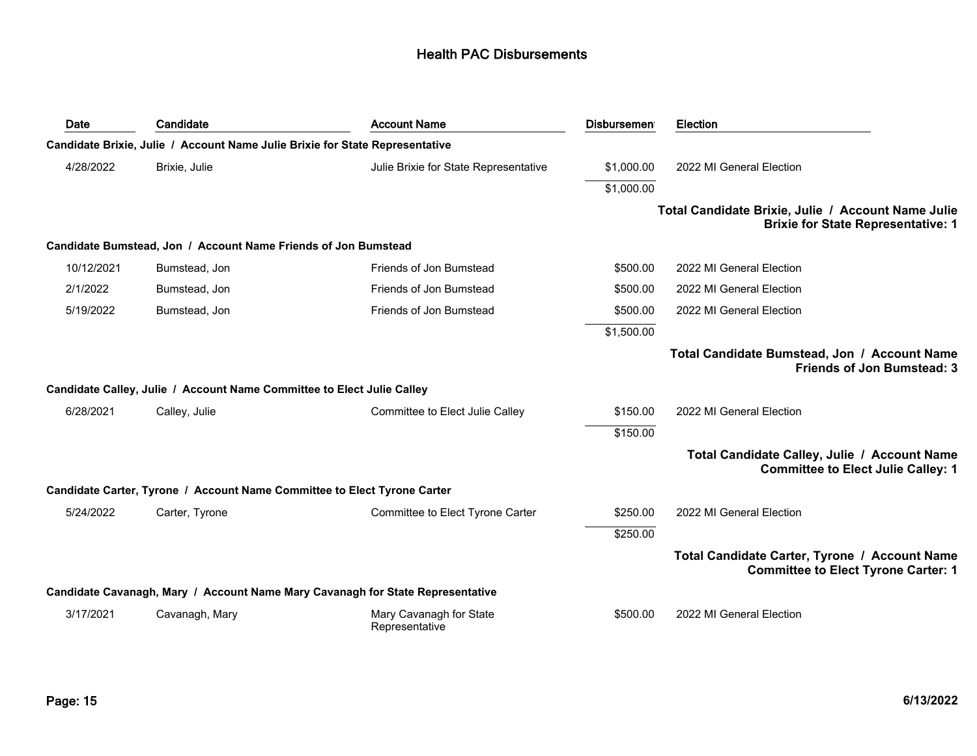| Date       | Candidate                                                                    | <b>Account Name</b>                                                            | <b>Disbursemen</b> | <b>Election</b>                                                                                 |
|------------|------------------------------------------------------------------------------|--------------------------------------------------------------------------------|--------------------|-------------------------------------------------------------------------------------------------|
|            | Candidate Brixie, Julie / Account Name Julie Brixie for State Representative |                                                                                |                    |                                                                                                 |
| 4/28/2022  | Brixie, Julie                                                                | Julie Brixie for State Representative                                          | \$1,000.00         | 2022 MI General Election                                                                        |
|            |                                                                              |                                                                                | \$1,000.00         |                                                                                                 |
|            |                                                                              |                                                                                |                    | Total Candidate Brixie, Julie / Account Name Julie<br><b>Brixie for State Representative: 1</b> |
|            | Candidate Bumstead, Jon / Account Name Friends of Jon Bumstead               |                                                                                |                    |                                                                                                 |
| 10/12/2021 | Bumstead, Jon                                                                | Friends of Jon Bumstead                                                        | \$500.00           | 2022 MI General Election                                                                        |
| 2/1/2022   | Bumstead, Jon                                                                | Friends of Jon Bumstead                                                        | \$500.00           | 2022 MI General Election                                                                        |
| 5/19/2022  | Bumstead, Jon                                                                | Friends of Jon Bumstead                                                        | \$500.00           | 2022 MI General Election                                                                        |
|            |                                                                              |                                                                                | \$1,500.00         |                                                                                                 |
|            |                                                                              |                                                                                |                    | Total Candidate Bumstead, Jon / Account Name<br><b>Friends of Jon Bumstead: 3</b>               |
|            | Candidate Calley, Julie / Account Name Committee to Elect Julie Calley       |                                                                                |                    |                                                                                                 |
| 6/28/2021  | Calley, Julie                                                                | Committee to Elect Julie Calley                                                | \$150.00           | 2022 MI General Election                                                                        |
|            |                                                                              |                                                                                | \$150.00           |                                                                                                 |
|            |                                                                              |                                                                                |                    | Total Candidate Calley, Julie / Account Name<br><b>Committee to Elect Julie Calley: 1</b>       |
|            | Candidate Carter, Tyrone / Account Name Committee to Elect Tyrone Carter     |                                                                                |                    |                                                                                                 |
| 5/24/2022  | Carter, Tyrone                                                               | Committee to Elect Tyrone Carter                                               | \$250.00           | 2022 MI General Election                                                                        |
|            |                                                                              |                                                                                | \$250.00           |                                                                                                 |
|            |                                                                              |                                                                                |                    | Total Candidate Carter, Tyrone / Account Name<br><b>Committee to Elect Tyrone Carter: 1</b>     |
|            |                                                                              | Candidate Cavanagh, Mary / Account Name Mary Cavanagh for State Representative |                    |                                                                                                 |
| 3/17/2021  | Cavanagh, Mary                                                               | Mary Cavanagh for State<br>Representative                                      | \$500.00           | 2022 MI General Election                                                                        |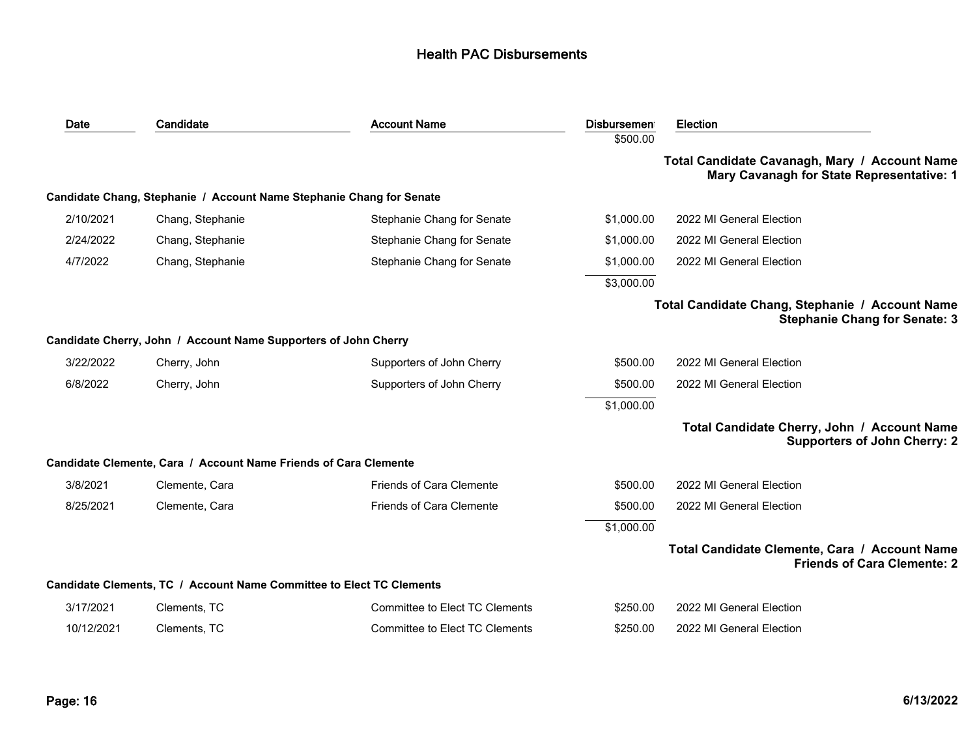| Date       | Candidate                                                            | <b>Account Name</b>             | <b>Disbursemen</b><br>\$500.00 | <b>Election</b>                                                                            |
|------------|----------------------------------------------------------------------|---------------------------------|--------------------------------|--------------------------------------------------------------------------------------------|
|            |                                                                      |                                 |                                | Total Candidate Cavanagh, Mary / Account Name<br>Mary Cavanagh for State Representative: 1 |
|            | Candidate Chang, Stephanie / Account Name Stephanie Chang for Senate |                                 |                                |                                                                                            |
| 2/10/2021  | Chang, Stephanie                                                     | Stephanie Chang for Senate      | \$1,000.00                     | 2022 MI General Election                                                                   |
| 2/24/2022  | Chang, Stephanie                                                     | Stephanie Chang for Senate      | \$1,000.00                     | 2022 MI General Election                                                                   |
| 4/7/2022   | Chang, Stephanie                                                     | Stephanie Chang for Senate      | \$1,000.00                     | 2022 MI General Election                                                                   |
|            |                                                                      |                                 | \$3,000.00                     |                                                                                            |
|            |                                                                      |                                 |                                | Total Candidate Chang, Stephanie / Account Name<br><b>Stephanie Chang for Senate: 3</b>    |
|            | Candidate Cherry, John / Account Name Supporters of John Cherry      |                                 |                                |                                                                                            |
| 3/22/2022  | Cherry, John                                                         | Supporters of John Cherry       | \$500.00                       | 2022 MI General Election                                                                   |
| 6/8/2022   | Cherry, John                                                         | Supporters of John Cherry       | \$500.00                       | 2022 MI General Election                                                                   |
|            |                                                                      |                                 | \$1,000.00                     |                                                                                            |
|            |                                                                      |                                 |                                | Total Candidate Cherry, John / Account Name<br><b>Supporters of John Cherry: 2</b>         |
|            | Candidate Clemente, Cara / Account Name Friends of Cara Clemente     |                                 |                                |                                                                                            |
| 3/8/2021   | Clemente, Cara                                                       | <b>Friends of Cara Clemente</b> | \$500.00                       | 2022 MI General Election                                                                   |
| 8/25/2021  | Clemente, Cara                                                       | <b>Friends of Cara Clemente</b> | \$500.00                       | 2022 MI General Election                                                                   |
|            |                                                                      |                                 | \$1,000.00                     |                                                                                            |
|            |                                                                      |                                 |                                | Total Candidate Clemente, Cara / Account Name<br><b>Friends of Cara Clemente: 2</b>        |
|            | Candidate Clements, TC / Account Name Committee to Elect TC Clements |                                 |                                |                                                                                            |
| 3/17/2021  | Clements, TC                                                         | Committee to Elect TC Clements  | \$250.00                       | 2022 MI General Election                                                                   |
| 10/12/2021 | Clements, TC                                                         | Committee to Elect TC Clements  | \$250.00                       | 2022 MI General Election                                                                   |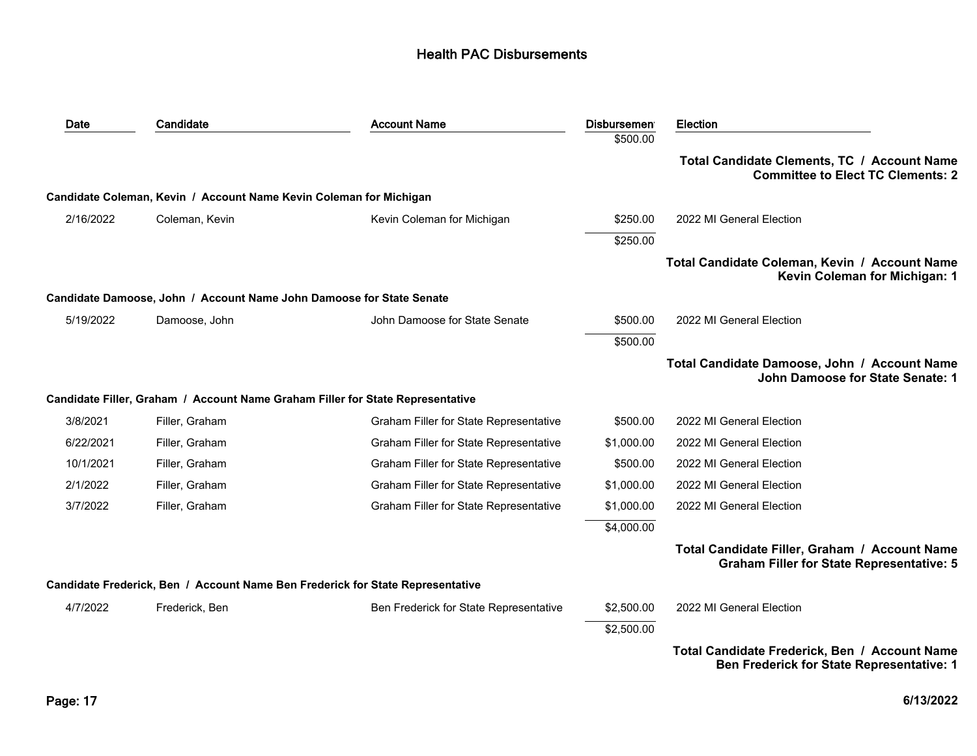| Date      | Candidate                                                            | <b>Account Name</b>                                                            | <b>Disbursemen</b> | <b>Election</b>                                                                                   |
|-----------|----------------------------------------------------------------------|--------------------------------------------------------------------------------|--------------------|---------------------------------------------------------------------------------------------------|
|           |                                                                      |                                                                                | \$500.00           |                                                                                                   |
|           |                                                                      |                                                                                |                    | Total Candidate Clements, TC / Account Name<br><b>Committee to Elect TC Clements: 2</b>           |
|           | Candidate Coleman, Kevin / Account Name Kevin Coleman for Michigan   |                                                                                |                    |                                                                                                   |
| 2/16/2022 | Coleman, Kevin                                                       | Kevin Coleman for Michigan                                                     | \$250.00           | 2022 MI General Election                                                                          |
|           |                                                                      |                                                                                | \$250.00           |                                                                                                   |
|           |                                                                      |                                                                                |                    | Total Candidate Coleman, Kevin / Account Name<br>Kevin Coleman for Michigan: 1                    |
|           | Candidate Damoose, John / Account Name John Damoose for State Senate |                                                                                |                    |                                                                                                   |
| 5/19/2022 | Damoose, John                                                        | John Damoose for State Senate                                                  | \$500.00           | 2022 MI General Election                                                                          |
|           |                                                                      |                                                                                | \$500.00           |                                                                                                   |
|           |                                                                      |                                                                                |                    | Total Candidate Damoose, John / Account Name<br>John Damoose for State Senate: 1                  |
|           |                                                                      | Candidate Filler, Graham / Account Name Graham Filler for State Representative |                    |                                                                                                   |
| 3/8/2021  | Filler, Graham                                                       | Graham Filler for State Representative                                         | \$500.00           | 2022 MI General Election                                                                          |
| 6/22/2021 | Filler, Graham                                                       | Graham Filler for State Representative                                         | \$1,000.00         | 2022 MI General Election                                                                          |
| 10/1/2021 | Filler, Graham                                                       | Graham Filler for State Representative                                         | \$500.00           | 2022 MI General Election                                                                          |
| 2/1/2022  | Filler, Graham                                                       | Graham Filler for State Representative                                         | \$1,000.00         | 2022 MI General Election                                                                          |
| 3/7/2022  | Filler, Graham                                                       | Graham Filler for State Representative                                         | \$1,000.00         | 2022 MI General Election                                                                          |
|           |                                                                      |                                                                                | \$4,000.00         |                                                                                                   |
|           |                                                                      |                                                                                |                    | Total Candidate Filler, Graham / Account Name<br><b>Graham Filler for State Representative: 5</b> |
|           |                                                                      | Candidate Frederick, Ben / Account Name Ben Frederick for State Representative |                    |                                                                                                   |
| 4/7/2022  | Frederick, Ben                                                       | Ben Frederick for State Representative                                         | \$2,500.00         | 2022 MI General Election                                                                          |
|           |                                                                      |                                                                                | \$2,500.00         |                                                                                                   |
|           |                                                                      |                                                                                |                    | Total Candidate Frederick, Ben / Account Name<br><b>Ben Frederick for State Representative: 1</b> |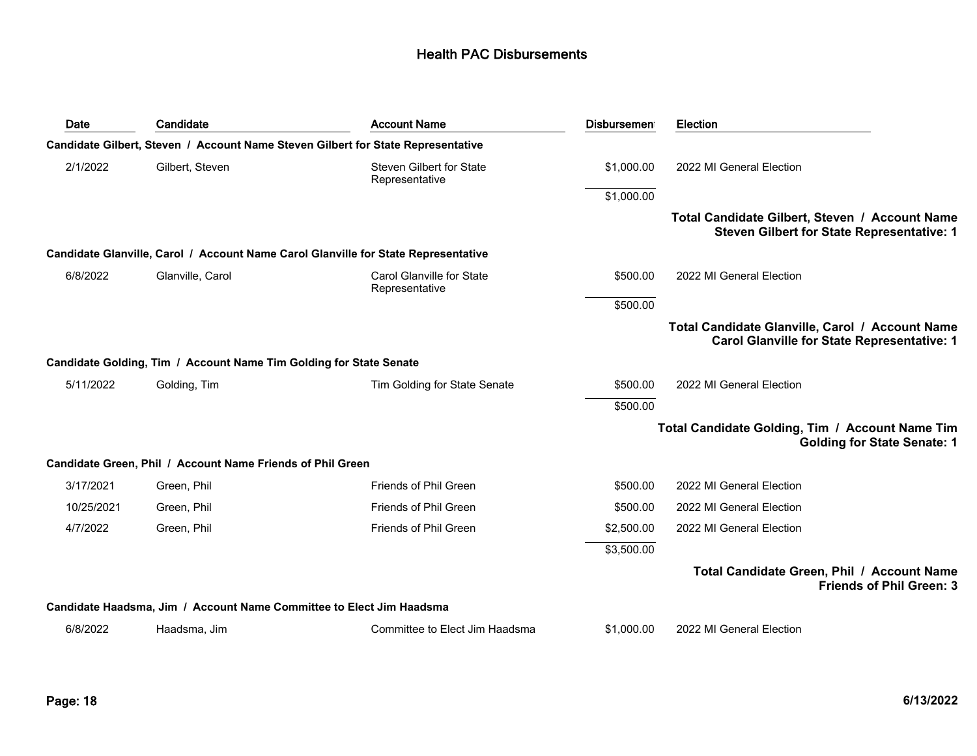| Date       | Candidate                                                            | <b>Account Name</b>                                                                | <b>Disbursemen</b> | <b>Election</b>                                                                                       |
|------------|----------------------------------------------------------------------|------------------------------------------------------------------------------------|--------------------|-------------------------------------------------------------------------------------------------------|
|            |                                                                      | Candidate Gilbert, Steven / Account Name Steven Gilbert for State Representative   |                    |                                                                                                       |
| 2/1/2022   | Gilbert, Steven                                                      | <b>Steven Gilbert for State</b><br>Representative                                  | \$1,000.00         | 2022 MI General Election                                                                              |
|            |                                                                      |                                                                                    | \$1,000.00         |                                                                                                       |
|            |                                                                      |                                                                                    |                    | Total Candidate Gilbert, Steven / Account Name<br><b>Steven Gilbert for State Representative: 1</b>   |
|            |                                                                      | Candidate Glanville, Carol / Account Name Carol Glanville for State Representative |                    |                                                                                                       |
| 6/8/2022   | Glanville, Carol                                                     | Carol Glanville for State<br>Representative                                        | \$500.00           | 2022 MI General Election                                                                              |
|            |                                                                      |                                                                                    | \$500.00           |                                                                                                       |
|            |                                                                      |                                                                                    |                    | Total Candidate Glanville, Carol / Account Name<br><b>Carol Glanville for State Representative: 1</b> |
|            | Candidate Golding, Tim / Account Name Tim Golding for State Senate   |                                                                                    |                    |                                                                                                       |
| 5/11/2022  | Golding, Tim                                                         | Tim Golding for State Senate                                                       | \$500.00           | 2022 MI General Election                                                                              |
|            |                                                                      |                                                                                    | \$500.00           |                                                                                                       |
|            |                                                                      |                                                                                    |                    | Total Candidate Golding, Tim / Account Name Tim<br><b>Golding for State Senate: 1</b>                 |
|            | Candidate Green, Phil / Account Name Friends of Phil Green           |                                                                                    |                    |                                                                                                       |
| 3/17/2021  | Green, Phil                                                          | Friends of Phil Green                                                              | \$500.00           | 2022 MI General Election                                                                              |
| 10/25/2021 | Green, Phil                                                          | Friends of Phil Green                                                              | \$500.00           | 2022 MI General Election                                                                              |
| 4/7/2022   | Green, Phil                                                          | Friends of Phil Green                                                              | \$2,500.00         | 2022 MI General Election                                                                              |
|            |                                                                      |                                                                                    | \$3,500.00         |                                                                                                       |
|            |                                                                      |                                                                                    |                    | Total Candidate Green, Phil / Account Name<br><b>Friends of Phil Green: 3</b>                         |
|            | Candidate Haadsma, Jim / Account Name Committee to Elect Jim Haadsma |                                                                                    |                    |                                                                                                       |
| 6/8/2022   | Haadsma, Jim                                                         | Committee to Elect Jim Haadsma                                                     | \$1,000.00         | 2022 MI General Election                                                                              |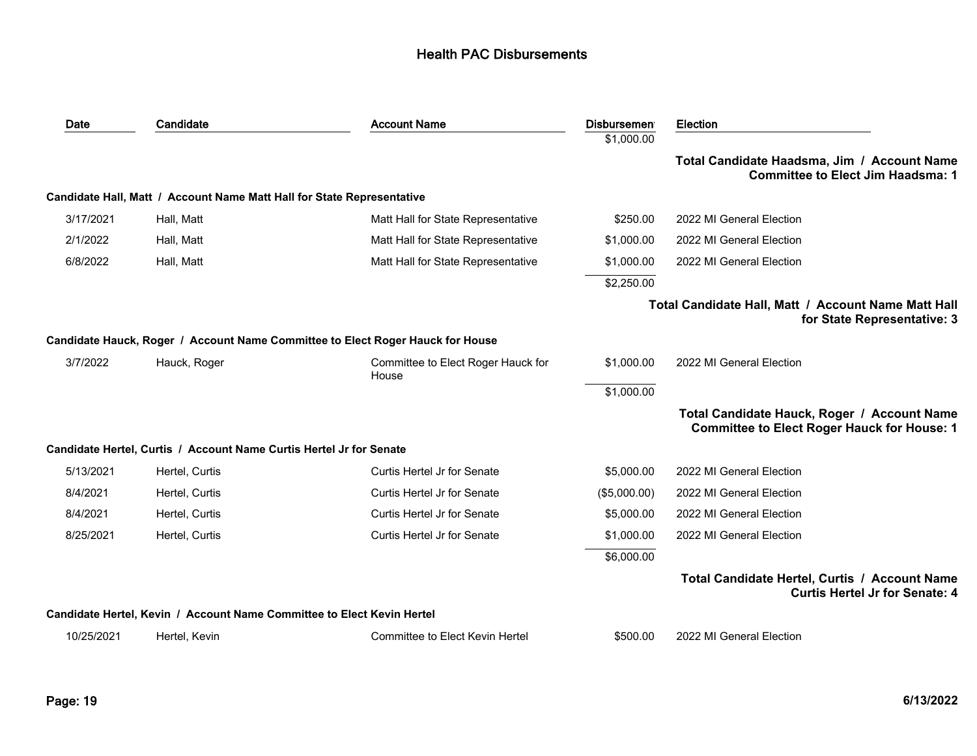| Date       | Candidate                                                              | <b>Account Name</b>                                                            | <b>Disbursemen</b> | <b>Election</b>                                                                                   |
|------------|------------------------------------------------------------------------|--------------------------------------------------------------------------------|--------------------|---------------------------------------------------------------------------------------------------|
|            |                                                                        |                                                                                | \$1,000.00         |                                                                                                   |
|            |                                                                        |                                                                                |                    | Total Candidate Haadsma, Jim / Account Name<br><b>Committee to Elect Jim Haadsma: 1</b>           |
|            | Candidate Hall, Matt / Account Name Matt Hall for State Representative |                                                                                |                    |                                                                                                   |
| 3/17/2021  | Hall, Matt                                                             | Matt Hall for State Representative                                             | \$250.00           | 2022 MI General Election                                                                          |
| 2/1/2022   | Hall, Matt                                                             | Matt Hall for State Representative                                             | \$1,000.00         | 2022 MI General Election                                                                          |
| 6/8/2022   | Hall, Matt                                                             | Matt Hall for State Representative                                             | \$1,000.00         | 2022 MI General Election                                                                          |
|            |                                                                        |                                                                                | \$2,250.00         |                                                                                                   |
|            |                                                                        |                                                                                |                    | Total Candidate Hall, Matt / Account Name Matt Hall<br>for State Representative: 3                |
|            |                                                                        | Candidate Hauck, Roger / Account Name Committee to Elect Roger Hauck for House |                    |                                                                                                   |
| 3/7/2022   | Hauck, Roger                                                           | Committee to Elect Roger Hauck for<br>House                                    | \$1,000.00         | 2022 MI General Election                                                                          |
|            |                                                                        |                                                                                | \$1,000.00         |                                                                                                   |
|            |                                                                        |                                                                                |                    | Total Candidate Hauck, Roger / Account Name<br><b>Committee to Elect Roger Hauck for House: 1</b> |
|            | Candidate Hertel, Curtis / Account Name Curtis Hertel Jr for Senate    |                                                                                |                    |                                                                                                   |
| 5/13/2021  | Hertel, Curtis                                                         | Curtis Hertel Jr for Senate                                                    | \$5,000.00         | 2022 MI General Election                                                                          |
| 8/4/2021   | Hertel, Curtis                                                         | Curtis Hertel Jr for Senate                                                    | (\$5,000.00)       | 2022 MI General Election                                                                          |
| 8/4/2021   | Hertel, Curtis                                                         | Curtis Hertel Jr for Senate                                                    | \$5,000.00         | 2022 MI General Election                                                                          |
| 8/25/2021  | Hertel, Curtis                                                         | Curtis Hertel Jr for Senate                                                    | \$1,000.00         | 2022 MI General Election                                                                          |
|            |                                                                        |                                                                                | \$6,000.00         |                                                                                                   |
|            |                                                                        |                                                                                |                    | Total Candidate Hertel, Curtis / Account Name<br><b>Curtis Hertel Jr for Senate: 4</b>            |
|            | Candidate Hertel, Kevin / Account Name Committee to Elect Kevin Hertel |                                                                                |                    |                                                                                                   |
| 10/25/2021 | Hertel, Kevin                                                          | Committee to Elect Kevin Hertel                                                | \$500.00           | 2022 MI General Election                                                                          |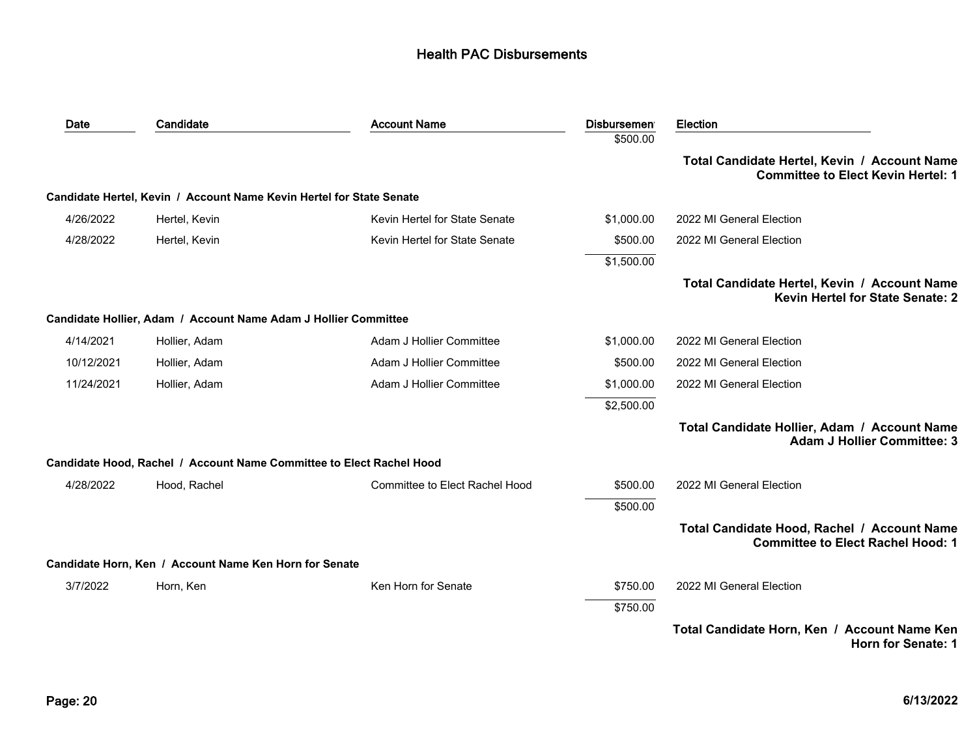| Date       | Candidate                                                            | <b>Account Name</b>                   | Disbursemen <sup>®</sup> | <b>Election</b>                                                                           |
|------------|----------------------------------------------------------------------|---------------------------------------|--------------------------|-------------------------------------------------------------------------------------------|
|            |                                                                      |                                       | \$500.00                 |                                                                                           |
|            |                                                                      |                                       |                          | Total Candidate Hertel, Kevin / Account Name<br><b>Committee to Elect Kevin Hertel: 1</b> |
|            | Candidate Hertel, Kevin / Account Name Kevin Hertel for State Senate |                                       |                          |                                                                                           |
| 4/26/2022  | Hertel, Kevin                                                        | Kevin Hertel for State Senate         | \$1,000.00               | 2022 MI General Election                                                                  |
| 4/28/2022  | Hertel, Kevin                                                        | Kevin Hertel for State Senate         | \$500.00                 | 2022 MI General Election                                                                  |
|            |                                                                      |                                       | \$1,500.00               |                                                                                           |
|            |                                                                      |                                       |                          | Total Candidate Hertel, Kevin / Account Name<br><b>Kevin Hertel for State Senate: 2</b>   |
|            | Candidate Hollier, Adam / Account Name Adam J Hollier Committee      |                                       |                          |                                                                                           |
| 4/14/2021  | Hollier, Adam                                                        | Adam J Hollier Committee              | \$1,000.00               | 2022 MI General Election                                                                  |
| 10/12/2021 | Hollier, Adam                                                        | Adam J Hollier Committee              | \$500.00                 | 2022 MI General Election                                                                  |
| 11/24/2021 | Hollier, Adam                                                        | Adam J Hollier Committee              | \$1,000.00               | 2022 MI General Election                                                                  |
|            |                                                                      |                                       | \$2,500.00               |                                                                                           |
|            |                                                                      |                                       |                          | Total Candidate Hollier, Adam / Account Name<br><b>Adam J Hollier Committee: 3</b>        |
|            | Candidate Hood, Rachel / Account Name Committee to Elect Rachel Hood |                                       |                          |                                                                                           |
| 4/28/2022  | Hood, Rachel                                                         | <b>Committee to Elect Rachel Hood</b> | \$500.00                 | 2022 MI General Election                                                                  |
|            |                                                                      |                                       | \$500.00                 |                                                                                           |
|            |                                                                      |                                       |                          | Total Candidate Hood, Rachel / Account Name<br><b>Committee to Elect Rachel Hood: 1</b>   |
|            | Candidate Horn, Ken / Account Name Ken Horn for Senate               |                                       |                          |                                                                                           |
| 3/7/2022   | Horn, Ken                                                            | Ken Horn for Senate                   | \$750.00                 | 2022 MI General Election                                                                  |
|            |                                                                      |                                       | \$750.00                 |                                                                                           |
|            |                                                                      |                                       |                          | Total Candidate Horn, Ken / Account Name Ken<br>Horn for Senate: 1                        |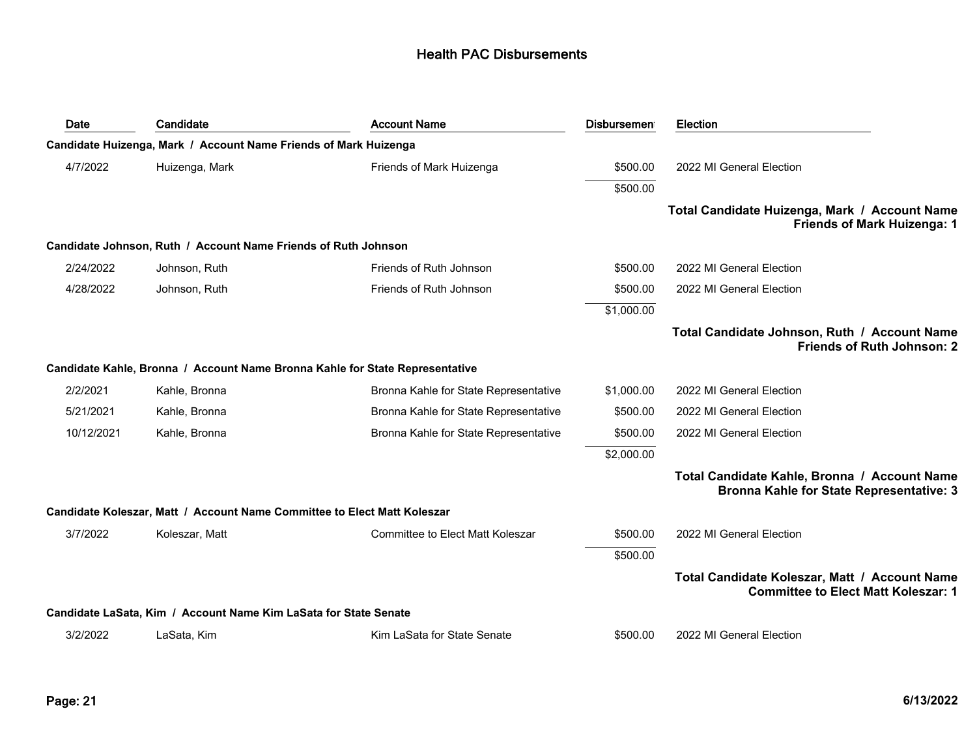| Date       | Candidate                                                                | <b>Account Name</b>                                                          | <b>Disbursemen</b> | <b>Election</b>                                                                                 |
|------------|--------------------------------------------------------------------------|------------------------------------------------------------------------------|--------------------|-------------------------------------------------------------------------------------------------|
|            | Candidate Huizenga, Mark / Account Name Friends of Mark Huizenga         |                                                                              |                    |                                                                                                 |
| 4/7/2022   | Huizenga, Mark                                                           | Friends of Mark Huizenga                                                     | \$500.00           | 2022 MI General Election                                                                        |
|            |                                                                          |                                                                              | \$500.00           |                                                                                                 |
|            |                                                                          |                                                                              |                    | Total Candidate Huizenga, Mark / Account Name<br>Friends of Mark Huizenga: 1                    |
|            | Candidate Johnson, Ruth / Account Name Friends of Ruth Johnson           |                                                                              |                    |                                                                                                 |
| 2/24/2022  | Johnson, Ruth                                                            | Friends of Ruth Johnson                                                      | \$500.00           | 2022 MI General Election                                                                        |
| 4/28/2022  | Johnson, Ruth                                                            | Friends of Ruth Johnson                                                      | \$500.00           | 2022 MI General Election                                                                        |
|            |                                                                          |                                                                              | \$1,000.00         |                                                                                                 |
|            |                                                                          |                                                                              |                    | Total Candidate Johnson, Ruth / Account Name<br><b>Friends of Ruth Johnson: 2</b>               |
|            |                                                                          | Candidate Kahle, Bronna / Account Name Bronna Kahle for State Representative |                    |                                                                                                 |
| 2/2/2021   | Kahle, Bronna                                                            | Bronna Kahle for State Representative                                        | \$1,000.00         | 2022 MI General Election                                                                        |
| 5/21/2021  | Kahle, Bronna                                                            | Bronna Kahle for State Representative                                        | \$500.00           | 2022 MI General Election                                                                        |
| 10/12/2021 | Kahle, Bronna                                                            | Bronna Kahle for State Representative                                        | \$500.00           | 2022 MI General Election                                                                        |
|            |                                                                          |                                                                              | \$2,000.00         |                                                                                                 |
|            |                                                                          |                                                                              |                    | Total Candidate Kahle, Bronna / Account Name<br><b>Bronna Kahle for State Representative: 3</b> |
|            | Candidate Koleszar, Matt / Account Name Committee to Elect Matt Koleszar |                                                                              |                    |                                                                                                 |
| 3/7/2022   | Koleszar, Matt                                                           | <b>Committee to Elect Matt Koleszar</b>                                      | \$500.00           | 2022 MI General Election                                                                        |
|            |                                                                          |                                                                              | \$500.00           |                                                                                                 |
|            |                                                                          |                                                                              |                    | Total Candidate Koleszar, Matt / Account Name<br><b>Committee to Elect Matt Koleszar: 1</b>     |
|            | Candidate LaSata, Kim / Account Name Kim LaSata for State Senate         |                                                                              |                    |                                                                                                 |
| 3/2/2022   | LaSata, Kim                                                              | Kim LaSata for State Senate                                                  | \$500.00           | 2022 MI General Election                                                                        |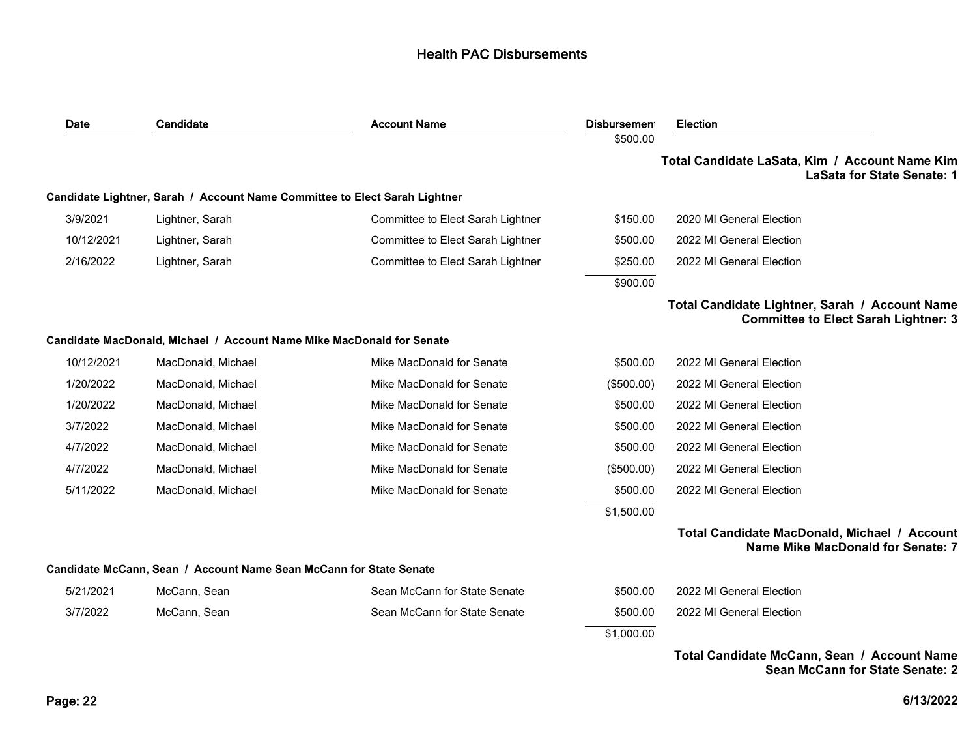| Date       | Candidate                                                                  | <b>Account Name</b>               | <b>Disbursemen</b> | <b>Election</b>                                                                               |
|------------|----------------------------------------------------------------------------|-----------------------------------|--------------------|-----------------------------------------------------------------------------------------------|
|            |                                                                            |                                   | \$500.00           | Total Candidate LaSata, Kim / Account Name Kim<br><b>LaSata for State Senate: 1</b>           |
|            | Candidate Lightner, Sarah / Account Name Committee to Elect Sarah Lightner |                                   |                    |                                                                                               |
| 3/9/2021   | Lightner, Sarah                                                            | Committee to Elect Sarah Lightner | \$150.00           | 2020 MI General Election                                                                      |
| 10/12/2021 | Lightner, Sarah                                                            | Committee to Elect Sarah Lightner | \$500.00           | 2022 MI General Election                                                                      |
| 2/16/2022  | Lightner, Sarah                                                            | Committee to Elect Sarah Lightner | \$250.00           | 2022 MI General Election                                                                      |
|            |                                                                            |                                   | \$900.00           |                                                                                               |
|            |                                                                            |                                   |                    | Total Candidate Lightner, Sarah / Account Name<br><b>Committee to Elect Sarah Lightner: 3</b> |
|            | Candidate MacDonald, Michael / Account Name Mike MacDonald for Senate      |                                   |                    |                                                                                               |
| 10/12/2021 | MacDonald, Michael                                                         | Mike MacDonald for Senate         | \$500.00           | 2022 MI General Election                                                                      |
| 1/20/2022  | MacDonald, Michael                                                         | Mike MacDonald for Senate         | (\$500.00)         | 2022 MI General Election                                                                      |
| 1/20/2022  | MacDonald, Michael                                                         | Mike MacDonald for Senate         | \$500.00           | 2022 MI General Election                                                                      |
| 3/7/2022   | MacDonald, Michael                                                         | Mike MacDonald for Senate         | \$500.00           | 2022 MI General Election                                                                      |
| 4/7/2022   | MacDonald, Michael                                                         | Mike MacDonald for Senate         | \$500.00           | 2022 MI General Election                                                                      |
| 4/7/2022   | MacDonald, Michael                                                         | Mike MacDonald for Senate         | (\$500.00)         | 2022 MI General Election                                                                      |
| 5/11/2022  | MacDonald, Michael                                                         | Mike MacDonald for Senate         | \$500.00           | 2022 MI General Election                                                                      |
|            |                                                                            |                                   | \$1,500.00         |                                                                                               |
|            |                                                                            |                                   |                    | Total Candidate MacDonald, Michael / Account<br>Name Mike MacDonald for Senate: 7             |
|            | Candidate McCann, Sean / Account Name Sean McCann for State Senate         |                                   |                    |                                                                                               |
| 5/21/2021  | McCann, Sean                                                               | Sean McCann for State Senate      | \$500.00           | 2022 MI General Election                                                                      |
| 3/7/2022   | McCann, Sean                                                               | Sean McCann for State Senate      | \$500.00           | 2022 MI General Election                                                                      |
|            |                                                                            |                                   | \$1,000.00         |                                                                                               |
|            |                                                                            |                                   |                    | Total Candidate McCann, Sean / Account Name                                                   |

**Sean McCann for State Senate: 2**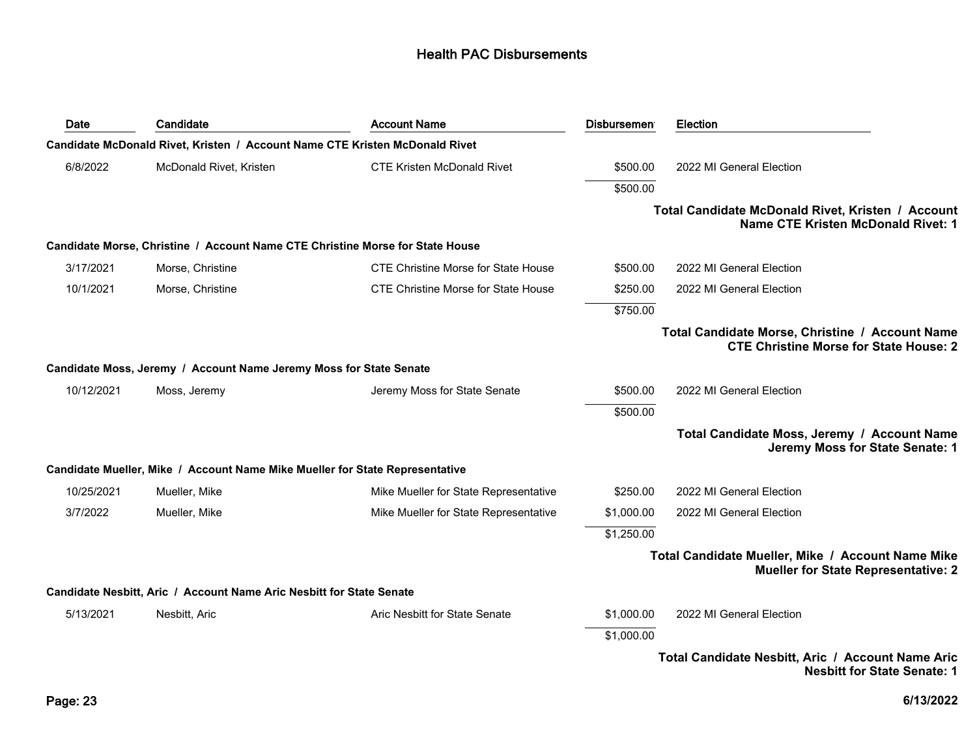| Date       | Candidate                                                                     | <b>Account Name</b>                        | <b>Disbursemen</b> | <b>Election</b>                                                                                  |
|------------|-------------------------------------------------------------------------------|--------------------------------------------|--------------------|--------------------------------------------------------------------------------------------------|
|            | Candidate McDonald Rivet, Kristen / Account Name CTE Kristen McDonald Rivet   |                                            |                    |                                                                                                  |
| 6/8/2022   | McDonald Rivet, Kristen                                                       | <b>CTE Kristen McDonald Rivet</b>          | \$500.00           | 2022 MI General Election                                                                         |
|            |                                                                               |                                            | \$500.00           |                                                                                                  |
|            |                                                                               |                                            |                    | Total Candidate McDonald Rivet, Kristen / Account<br><b>Name CTE Kristen McDonald Rivet: 1</b>   |
|            | Candidate Morse, Christine / Account Name CTE Christine Morse for State House |                                            |                    |                                                                                                  |
| 3/17/2021  | Morse, Christine                                                              | <b>CTE Christine Morse for State House</b> | \$500.00           | 2022 MI General Election                                                                         |
| 10/1/2021  | Morse, Christine                                                              | <b>CTE Christine Morse for State House</b> | \$250.00           | 2022 MI General Election                                                                         |
|            |                                                                               |                                            | \$750.00           |                                                                                                  |
|            |                                                                               |                                            |                    | Total Candidate Morse, Christine / Account Name<br><b>CTE Christine Morse for State House: 2</b> |
|            | Candidate Moss, Jeremy / Account Name Jeremy Moss for State Senate            |                                            |                    |                                                                                                  |
| 10/12/2021 | Moss, Jeremy                                                                  | Jeremy Moss for State Senate               | \$500.00           | 2022 MI General Election                                                                         |
|            |                                                                               |                                            | \$500.00           |                                                                                                  |
|            |                                                                               |                                            |                    | Total Candidate Moss, Jeremy / Account Name<br>Jeremy Moss for State Senate: 1                   |
|            | Candidate Mueller, Mike / Account Name Mike Mueller for State Representative  |                                            |                    |                                                                                                  |
| 10/25/2021 | Mueller, Mike                                                                 | Mike Mueller for State Representative      | \$250.00           | 2022 MI General Election                                                                         |
| 3/7/2022   | Mueller, Mike                                                                 | Mike Mueller for State Representative      | \$1,000.00         | 2022 MI General Election                                                                         |
|            |                                                                               |                                            | \$1,250.00         |                                                                                                  |
|            |                                                                               |                                            |                    | Total Candidate Mueller, Mike / Account Name Mike<br><b>Mueller for State Representative: 2</b>  |
|            | Candidate Nesbitt, Aric / Account Name Aric Nesbitt for State Senate          |                                            |                    |                                                                                                  |
| 5/13/2021  | Nesbitt, Aric                                                                 | Aric Nesbitt for State Senate              | \$1,000.00         | 2022 MI General Election                                                                         |
|            |                                                                               |                                            | \$1,000.00         |                                                                                                  |
|            |                                                                               |                                            |                    | Total Candidate Nesbitt, Aric / Account Name Aric<br><b>Nesbitt for State Senate: 1</b>          |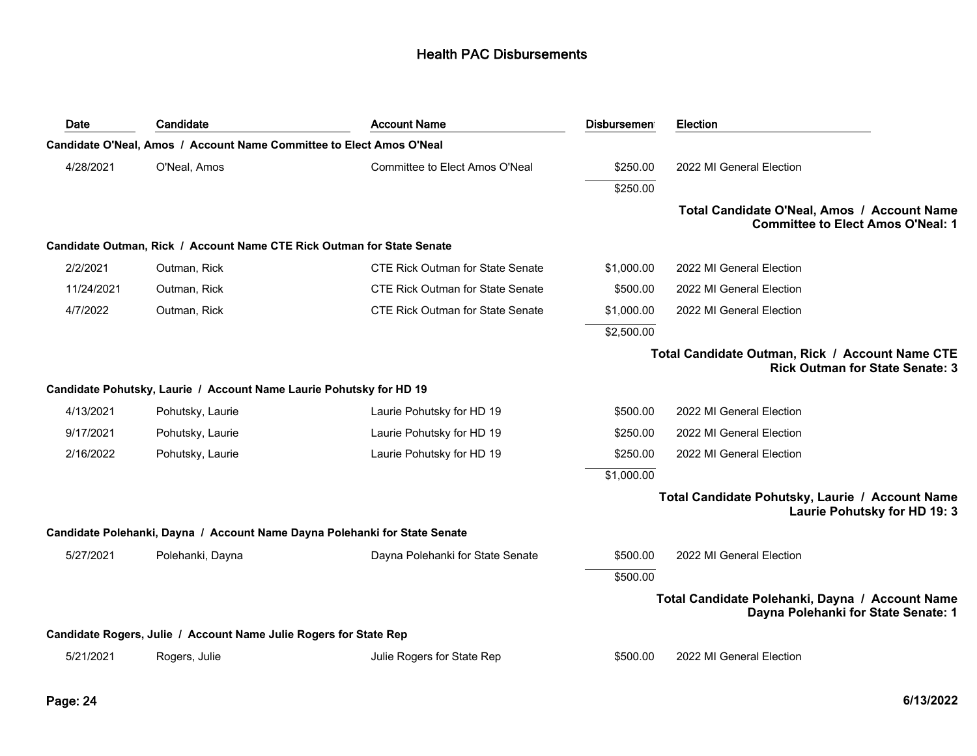| Date       | Candidate                                                                  | <b>Account Name</b>                     | <b>Disbursemen</b> | <b>Election</b>                                                                           |
|------------|----------------------------------------------------------------------------|-----------------------------------------|--------------------|-------------------------------------------------------------------------------------------|
|            | Candidate O'Neal, Amos / Account Name Committee to Elect Amos O'Neal       |                                         |                    |                                                                                           |
| 4/28/2021  | O'Neal, Amos                                                               | Committee to Elect Amos O'Neal          | \$250.00           | 2022 MI General Election                                                                  |
|            |                                                                            |                                         | \$250.00           |                                                                                           |
|            |                                                                            |                                         |                    | Total Candidate O'Neal, Amos / Account Name<br><b>Committee to Elect Amos O'Neal: 1</b>   |
|            | Candidate Outman, Rick / Account Name CTE Rick Outman for State Senate     |                                         |                    |                                                                                           |
| 2/2/2021   | Outman, Rick                                                               | <b>CTE Rick Outman for State Senate</b> | \$1,000.00         | 2022 MI General Election                                                                  |
| 11/24/2021 | Outman, Rick                                                               | CTE Rick Outman for State Senate        | \$500.00           | 2022 MI General Election                                                                  |
| 4/7/2022   | Outman, Rick                                                               | <b>CTE Rick Outman for State Senate</b> | \$1,000.00         | 2022 MI General Election                                                                  |
|            |                                                                            |                                         | \$2,500.00         |                                                                                           |
|            |                                                                            |                                         |                    | Total Candidate Outman, Rick / Account Name CTE<br><b>Rick Outman for State Senate: 3</b> |
|            | Candidate Pohutsky, Laurie / Account Name Laurie Pohutsky for HD 19        |                                         |                    |                                                                                           |
| 4/13/2021  | Pohutsky, Laurie                                                           | Laurie Pohutsky for HD 19               | \$500.00           | 2022 MI General Election                                                                  |
| 9/17/2021  | Pohutsky, Laurie                                                           | Laurie Pohutsky for HD 19               | \$250.00           | 2022 MI General Election                                                                  |
| 2/16/2022  | Pohutsky, Laurie                                                           | Laurie Pohutsky for HD 19               | \$250.00           | 2022 MI General Election                                                                  |
|            |                                                                            |                                         | \$1,000.00         |                                                                                           |
|            |                                                                            |                                         |                    | Total Candidate Pohutsky, Laurie / Account Name<br>Laurie Pohutsky for HD 19: 3           |
|            | Candidate Polehanki, Dayna / Account Name Dayna Polehanki for State Senate |                                         |                    |                                                                                           |
| 5/27/2021  | Polehanki, Dayna                                                           | Dayna Polehanki for State Senate        | \$500.00           | 2022 MI General Election                                                                  |
|            |                                                                            |                                         | \$500.00           |                                                                                           |
|            |                                                                            |                                         |                    | Total Candidate Polehanki, Dayna / Account Name<br>Dayna Polehanki for State Senate: 1    |
|            | Candidate Rogers, Julie / Account Name Julie Rogers for State Rep          |                                         |                    |                                                                                           |
| 5/21/2021  | Rogers, Julie                                                              | Julie Rogers for State Rep              | \$500.00           | 2022 MI General Election                                                                  |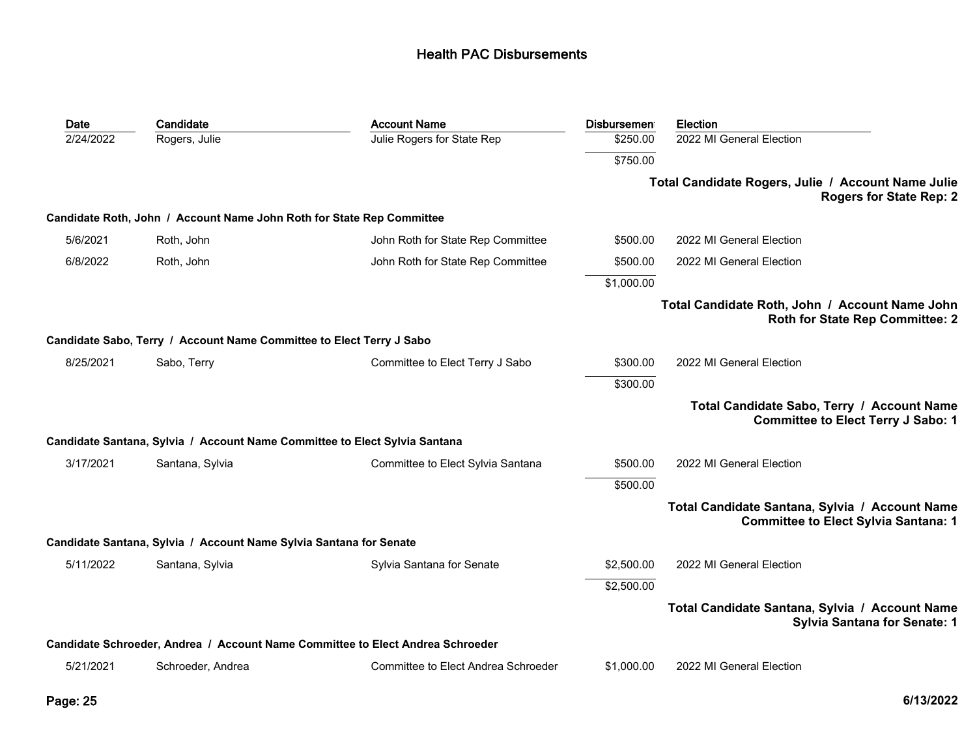| Date      | Candidate                                                             | <b>Account Name</b>                                                            | <b>Disbursemen</b> | <b>Election</b>                                                                               |
|-----------|-----------------------------------------------------------------------|--------------------------------------------------------------------------------|--------------------|-----------------------------------------------------------------------------------------------|
| 2/24/2022 | Rogers, Julie                                                         | Julie Rogers for State Rep                                                     | \$250.00           | 2022 MI General Election                                                                      |
|           |                                                                       |                                                                                | \$750.00           |                                                                                               |
|           |                                                                       |                                                                                |                    | Total Candidate Rogers, Julie / Account Name Julie<br><b>Rogers for State Rep: 2</b>          |
|           | Candidate Roth, John / Account Name John Roth for State Rep Committee |                                                                                |                    |                                                                                               |
| 5/6/2021  | Roth, John                                                            | John Roth for State Rep Committee                                              | \$500.00           | 2022 MI General Election                                                                      |
| 6/8/2022  | Roth, John                                                            | John Roth for State Rep Committee                                              | \$500.00           | 2022 MI General Election                                                                      |
|           |                                                                       |                                                                                | \$1,000.00         |                                                                                               |
|           |                                                                       |                                                                                |                    | Total Candidate Roth, John / Account Name John<br><b>Roth for State Rep Committee: 2</b>      |
|           | Candidate Sabo, Terry / Account Name Committee to Elect Terry J Sabo  |                                                                                |                    |                                                                                               |
| 8/25/2021 | Sabo, Terry                                                           | Committee to Elect Terry J Sabo                                                | \$300.00           | 2022 MI General Election                                                                      |
|           |                                                                       |                                                                                | \$300.00           |                                                                                               |
|           |                                                                       |                                                                                |                    | Total Candidate Sabo, Terry / Account Name<br><b>Committee to Elect Terry J Sabo: 1</b>       |
|           |                                                                       | Candidate Santana, Sylvia / Account Name Committee to Elect Sylvia Santana     |                    |                                                                                               |
| 3/17/2021 | Santana, Sylvia                                                       | Committee to Elect Sylvia Santana                                              | \$500.00           | 2022 MI General Election                                                                      |
|           |                                                                       |                                                                                | \$500.00           |                                                                                               |
|           |                                                                       |                                                                                |                    | Total Candidate Santana, Sylvia / Account Name<br><b>Committee to Elect Sylvia Santana: 1</b> |
|           | Candidate Santana, Sylvia / Account Name Sylvia Santana for Senate    |                                                                                |                    |                                                                                               |
| 5/11/2022 | Santana, Sylvia                                                       | Sylvia Santana for Senate                                                      | \$2,500.00         | 2022 MI General Election                                                                      |
|           |                                                                       |                                                                                | \$2,500.00         |                                                                                               |
|           |                                                                       |                                                                                |                    | Total Candidate Santana, Sylvia / Account Name<br><b>Sylvia Santana for Senate: 1</b>         |
|           |                                                                       | Candidate Schroeder, Andrea / Account Name Committee to Elect Andrea Schroeder |                    |                                                                                               |
| 5/21/2021 | Schroeder, Andrea                                                     | Committee to Elect Andrea Schroeder                                            | \$1,000.00         | 2022 MI General Election                                                                      |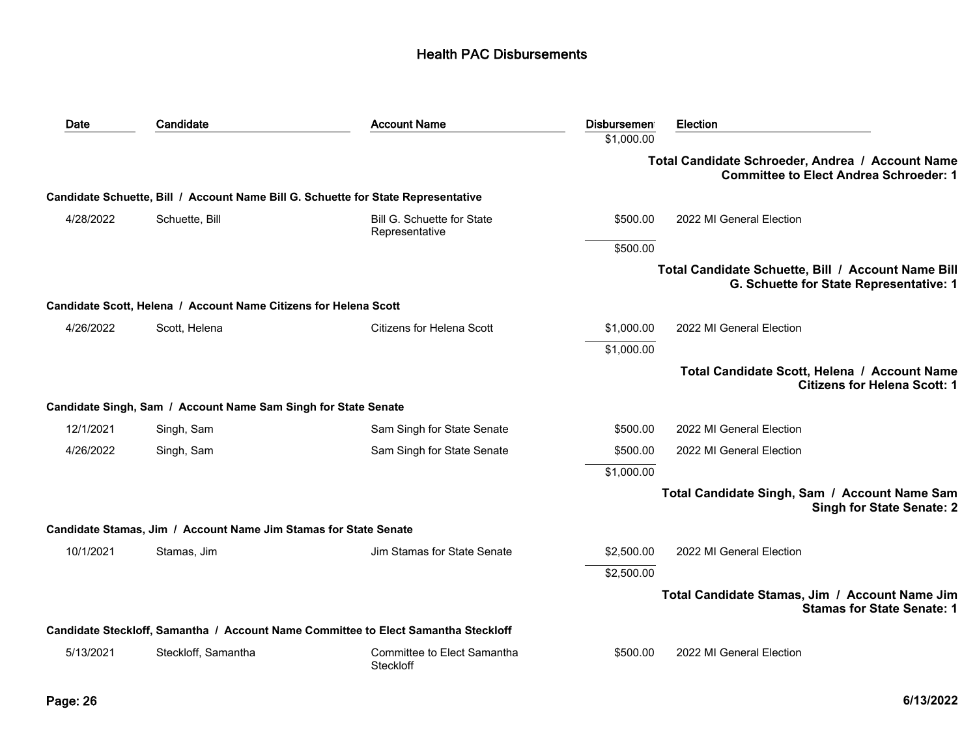| Date      | Candidate                                                                         | <b>Account Name</b>                                                                | <b>Disbursemen</b> | Election                                                                                          |
|-----------|-----------------------------------------------------------------------------------|------------------------------------------------------------------------------------|--------------------|---------------------------------------------------------------------------------------------------|
|           |                                                                                   |                                                                                    | \$1,000.00         |                                                                                                   |
|           |                                                                                   |                                                                                    |                    | Total Candidate Schroeder, Andrea / Account Name<br><b>Committee to Elect Andrea Schroeder: 1</b> |
|           | Candidate Schuette, Bill / Account Name Bill G. Schuette for State Representative |                                                                                    |                    |                                                                                                   |
| 4/28/2022 | Schuette, Bill                                                                    | Bill G. Schuette for State<br>Representative                                       | \$500.00           | 2022 MI General Election                                                                          |
|           |                                                                                   |                                                                                    | \$500.00           |                                                                                                   |
|           |                                                                                   |                                                                                    |                    | Total Candidate Schuette, Bill / Account Name Bill<br>G. Schuette for State Representative: 1     |
|           | Candidate Scott, Helena / Account Name Citizens for Helena Scott                  |                                                                                    |                    |                                                                                                   |
| 4/26/2022 | Scott, Helena                                                                     | Citizens for Helena Scott                                                          | \$1,000.00         | 2022 MI General Election                                                                          |
|           |                                                                                   |                                                                                    | \$1,000.00         |                                                                                                   |
|           |                                                                                   |                                                                                    |                    | Total Candidate Scott, Helena / Account Name<br><b>Citizens for Helena Scott: 1</b>               |
|           | Candidate Singh, Sam / Account Name Sam Singh for State Senate                    |                                                                                    |                    |                                                                                                   |
| 12/1/2021 | Singh, Sam                                                                        | Sam Singh for State Senate                                                         | \$500.00           | 2022 MI General Election                                                                          |
| 4/26/2022 | Singh, Sam                                                                        | Sam Singh for State Senate                                                         | \$500.00           | 2022 MI General Election                                                                          |
|           |                                                                                   |                                                                                    | \$1,000.00         |                                                                                                   |
|           |                                                                                   |                                                                                    |                    | Total Candidate Singh, Sam / Account Name Sam<br><b>Singh for State Senate: 2</b>                 |
|           | Candidate Stamas, Jim / Account Name Jim Stamas for State Senate                  |                                                                                    |                    |                                                                                                   |
| 10/1/2021 | Stamas, Jim                                                                       | Jim Stamas for State Senate                                                        | \$2,500.00         | 2022 MI General Election                                                                          |
|           |                                                                                   |                                                                                    | \$2,500.00         |                                                                                                   |
|           |                                                                                   |                                                                                    |                    | Total Candidate Stamas, Jim / Account Name Jim<br><b>Stamas for State Senate: 1</b>               |
|           |                                                                                   | Candidate Steckloff, Samantha / Account Name Committee to Elect Samantha Steckloff |                    |                                                                                                   |
| 5/13/2021 | Steckloff, Samantha                                                               | Committee to Elect Samantha<br>Steckloff                                           | \$500.00           | 2022 MI General Election                                                                          |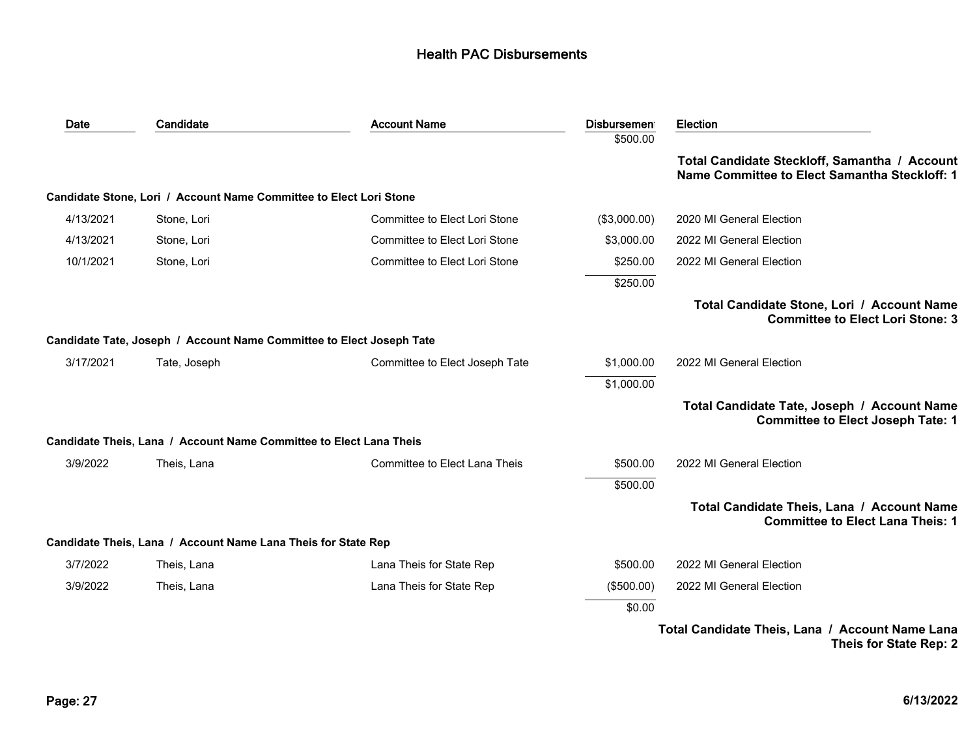| Date      | Candidate                                                            | <b>Account Name</b>            | <b>Disbursemen</b><br>\$500.00 | <b>Election</b>                                                                                |
|-----------|----------------------------------------------------------------------|--------------------------------|--------------------------------|------------------------------------------------------------------------------------------------|
|           |                                                                      |                                |                                | Total Candidate Steckloff, Samantha / Account<br>Name Committee to Elect Samantha Steckloff: 1 |
|           | Candidate Stone, Lori / Account Name Committee to Elect Lori Stone   |                                |                                |                                                                                                |
| 4/13/2021 | Stone, Lori                                                          | Committee to Elect Lori Stone  | (\$3,000.00)                   | 2020 MI General Election                                                                       |
| 4/13/2021 | Stone, Lori                                                          | Committee to Elect Lori Stone  | \$3,000.00                     | 2022 MI General Election                                                                       |
| 10/1/2021 | Stone, Lori                                                          | Committee to Elect Lori Stone  | \$250.00                       | 2022 MI General Election                                                                       |
|           |                                                                      |                                | \$250.00                       |                                                                                                |
|           |                                                                      |                                |                                | Total Candidate Stone, Lori / Account Name<br><b>Committee to Elect Lori Stone: 3</b>          |
|           | Candidate Tate, Joseph / Account Name Committee to Elect Joseph Tate |                                |                                |                                                                                                |
| 3/17/2021 | Tate, Joseph                                                         | Committee to Elect Joseph Tate | \$1,000.00                     | 2022 MI General Election                                                                       |
|           |                                                                      |                                | \$1,000.00                     |                                                                                                |
|           |                                                                      |                                |                                | Total Candidate Tate, Joseph / Account Name<br><b>Committee to Elect Joseph Tate: 1</b>        |
|           | Candidate Theis, Lana / Account Name Committee to Elect Lana Theis   |                                |                                |                                                                                                |
| 3/9/2022  | Theis, Lana                                                          | Committee to Elect Lana Theis  | \$500.00                       | 2022 MI General Election                                                                       |
|           |                                                                      |                                | \$500.00                       |                                                                                                |
|           |                                                                      |                                |                                | Total Candidate Theis, Lana / Account Name<br><b>Committee to Elect Lana Theis: 1</b>          |
|           | Candidate Theis, Lana / Account Name Lana Theis for State Rep        |                                |                                |                                                                                                |
| 3/7/2022  | Theis, Lana                                                          | Lana Theis for State Rep       | \$500.00                       | 2022 MI General Election                                                                       |
| 3/9/2022  | Theis, Lana                                                          | Lana Theis for State Rep       | (\$500.00)                     | 2022 MI General Election                                                                       |
|           |                                                                      |                                | \$0.00                         |                                                                                                |
|           |                                                                      |                                |                                | Total Candidate Theis, Lana / Account Name Lana<br>Theis for State Rep: 2                      |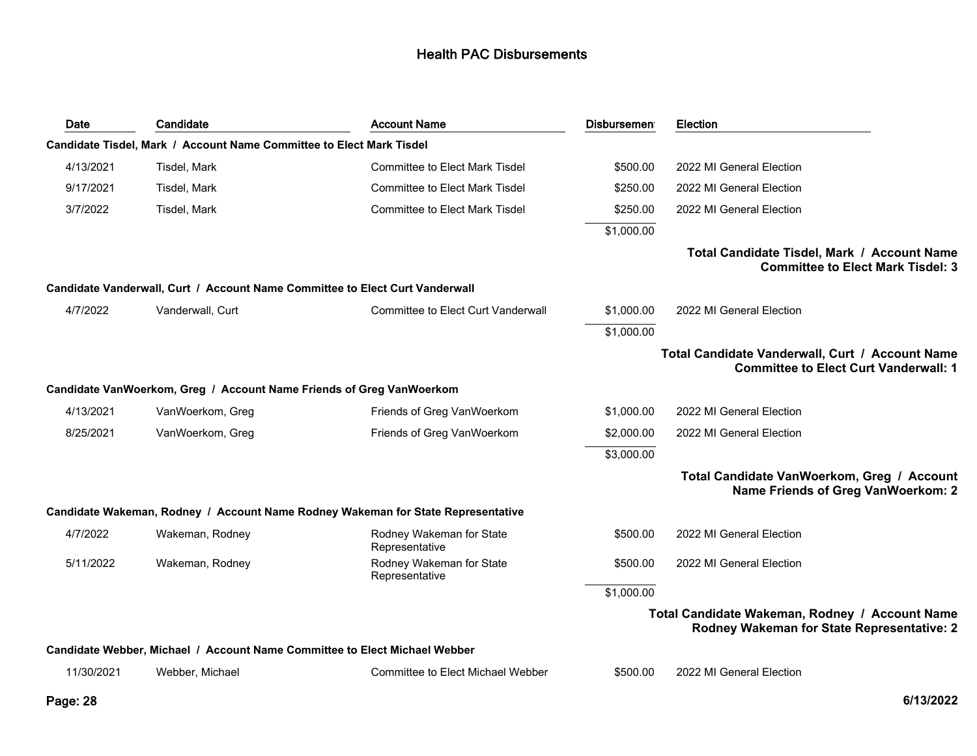| Date       | Candidate                                                                    | <b>Account Name</b>                                                              | <b>Disbursemen</b> | <b>Election</b>                                                                                 |
|------------|------------------------------------------------------------------------------|----------------------------------------------------------------------------------|--------------------|-------------------------------------------------------------------------------------------------|
|            | Candidate Tisdel, Mark / Account Name Committee to Elect Mark Tisdel         |                                                                                  |                    |                                                                                                 |
| 4/13/2021  | Tisdel, Mark                                                                 | <b>Committee to Elect Mark Tisdel</b>                                            | \$500.00           | 2022 MI General Election                                                                        |
| 9/17/2021  | Tisdel, Mark                                                                 | <b>Committee to Elect Mark Tisdel</b>                                            | \$250.00           | 2022 MI General Election                                                                        |
| 3/7/2022   | Tisdel, Mark                                                                 | <b>Committee to Elect Mark Tisdel</b>                                            | \$250.00           | 2022 MI General Election                                                                        |
|            |                                                                              |                                                                                  | \$1,000.00         |                                                                                                 |
|            |                                                                              |                                                                                  |                    | Total Candidate Tisdel, Mark / Account Name<br><b>Committee to Elect Mark Tisdel: 3</b>         |
|            | Candidate Vanderwall, Curt / Account Name Committee to Elect Curt Vanderwall |                                                                                  |                    |                                                                                                 |
| 4/7/2022   | Vanderwall, Curt                                                             | <b>Committee to Elect Curt Vanderwall</b>                                        | \$1,000.00         | 2022 MI General Election                                                                        |
|            |                                                                              |                                                                                  | \$1,000.00         |                                                                                                 |
|            |                                                                              |                                                                                  |                    | Total Candidate Vanderwall, Curt / Account Name<br><b>Committee to Elect Curt Vanderwall: 1</b> |
|            | Candidate VanWoerkom, Greg / Account Name Friends of Greg VanWoerkom         |                                                                                  |                    |                                                                                                 |
| 4/13/2021  | VanWoerkom, Greg                                                             | Friends of Greg VanWoerkom                                                       | \$1,000.00         | 2022 MI General Election                                                                        |
| 8/25/2021  | VanWoerkom, Greg                                                             | Friends of Greg VanWoerkom                                                       | \$2,000.00         | 2022 MI General Election                                                                        |
|            |                                                                              |                                                                                  | \$3,000.00         |                                                                                                 |
|            |                                                                              |                                                                                  |                    | Total Candidate VanWoerkom, Greg / Account<br>Name Friends of Greg VanWoerkom: 2                |
|            |                                                                              | Candidate Wakeman, Rodney / Account Name Rodney Wakeman for State Representative |                    |                                                                                                 |
| 4/7/2022   | Wakeman, Rodney                                                              | Rodney Wakeman for State<br>Representative                                       | \$500.00           | 2022 MI General Election                                                                        |
| 5/11/2022  | Wakeman, Rodney                                                              | Rodney Wakeman for State<br>Representative                                       | \$500.00           | 2022 MI General Election                                                                        |
|            |                                                                              |                                                                                  | \$1,000.00         |                                                                                                 |
|            |                                                                              |                                                                                  |                    | Total Candidate Wakeman, Rodney / Account Name<br>Rodney Wakeman for State Representative: 2    |
|            | Candidate Webber, Michael / Account Name Committee to Elect Michael Webber   |                                                                                  |                    |                                                                                                 |
| 11/30/2021 | Webber, Michael                                                              | Committee to Elect Michael Webber                                                | \$500.00           | 2022 MI General Election                                                                        |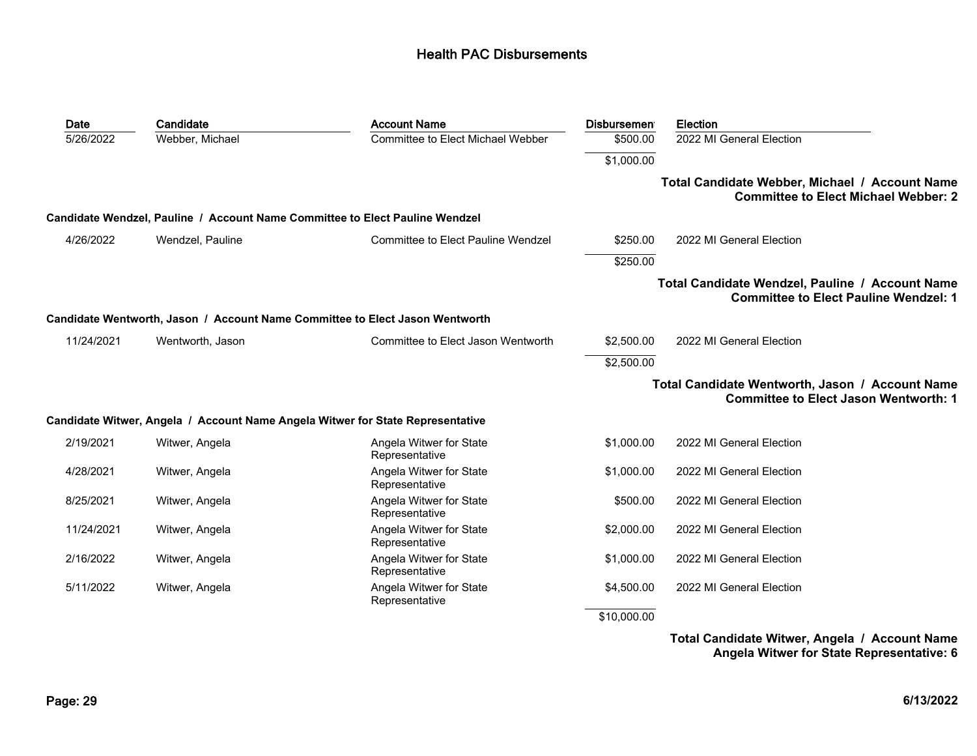| Date       | Candidate        | <b>Account Name</b>                                                            | <b>Disbursemen</b> | Election                                                                                        |
|------------|------------------|--------------------------------------------------------------------------------|--------------------|-------------------------------------------------------------------------------------------------|
| 5/26/2022  | Webber, Michael  | Committee to Elect Michael Webber                                              | \$500.00           | 2022 MI General Election                                                                        |
|            |                  |                                                                                | \$1,000.00         |                                                                                                 |
|            |                  |                                                                                |                    | Total Candidate Webber, Michael / Account Name<br><b>Committee to Elect Michael Webber: 2</b>   |
|            |                  | Candidate Wendzel, Pauline / Account Name Committee to Elect Pauline Wendzel   |                    |                                                                                                 |
| 4/26/2022  | Wendzel, Pauline | <b>Committee to Elect Pauline Wendzel</b>                                      | \$250.00           | 2022 MI General Election                                                                        |
|            |                  |                                                                                | \$250.00           |                                                                                                 |
|            |                  |                                                                                |                    | Total Candidate Wendzel, Pauline / Account Name<br><b>Committee to Elect Pauline Wendzel: 1</b> |
|            |                  | Candidate Wentworth, Jason / Account Name Committee to Elect Jason Wentworth   |                    |                                                                                                 |
| 11/24/2021 | Wentworth, Jason | Committee to Elect Jason Wentworth                                             | \$2,500.00         | 2022 MI General Election                                                                        |
|            |                  |                                                                                | \$2,500.00         |                                                                                                 |
|            |                  |                                                                                |                    | Total Candidate Wentworth, Jason / Account Name<br><b>Committee to Elect Jason Wentworth: 1</b> |
|            |                  | Candidate Witwer, Angela / Account Name Angela Witwer for State Representative |                    |                                                                                                 |
| 2/19/2021  | Witwer, Angela   | Angela Witwer for State<br>Representative                                      | \$1,000.00         | 2022 MI General Election                                                                        |
| 4/28/2021  | Witwer, Angela   | Angela Witwer for State<br>Representative                                      | \$1,000.00         | 2022 MI General Election                                                                        |
| 8/25/2021  | Witwer, Angela   | Angela Witwer for State<br>Representative                                      | \$500.00           | 2022 MI General Election                                                                        |
| 11/24/2021 | Witwer, Angela   | Angela Witwer for State<br>Representative                                      | \$2,000.00         | 2022 MI General Election                                                                        |
| 2/16/2022  | Witwer, Angela   | Angela Witwer for State<br>Representative                                      | \$1,000.00         | 2022 MI General Election                                                                        |
| 5/11/2022  | Witwer, Angela   | Angela Witwer for State<br>Representative                                      | \$4,500.00         | 2022 MI General Election                                                                        |
|            |                  |                                                                                | \$10,000.00        |                                                                                                 |

**Total Candidate Witwer, Angela / Account Name Angela Witwer for State Representative: 6**